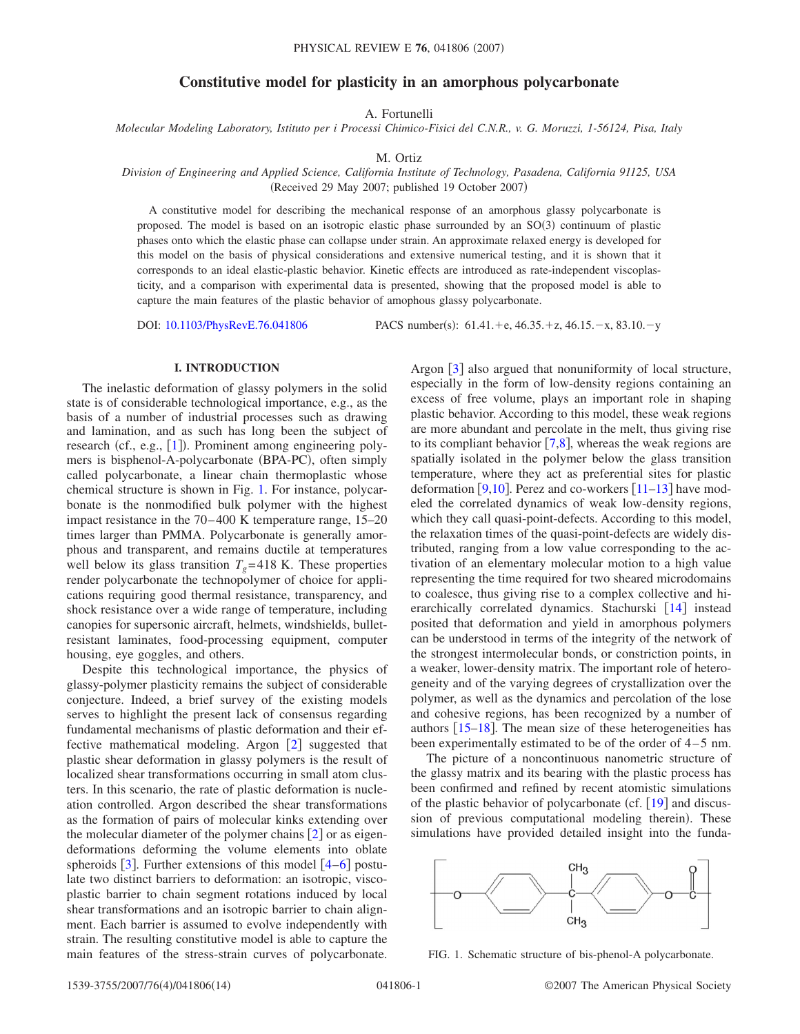# **Constitutive model for plasticity in an amorphous polycarbonate**

A. Fortunelli

*Molecular Modeling Laboratory, Istituto per i Processi Chimico-Fisici del C.N.R., v. G. Moruzzi, 1-56124, Pisa, Italy*

M. Ortiz

# *Division of Engineering and Applied Science, California Institute of Technology, Pasadena, California 91125, USA* (Received 29 May 2007; published 19 October 2007)

A constitutive model for describing the mechanical response of an amorphous glassy polycarbonate is proposed. The model is based on an isotropic elastic phase surrounded by an SO(3) continuum of plastic phases onto which the elastic phase can collapse under strain. An approximate relaxed energy is developed for this model on the basis of physical considerations and extensive numerical testing, and it is shown that it corresponds to an ideal elastic-plastic behavior. Kinetic effects are introduced as rate-independent viscoplasticity, and a comparison with experimental data is presented, showing that the proposed model is able to capture the main features of the plastic behavior of amophous glassy polycarbonate.

DOI: [10.1103/PhysRevE.76.041806](http://dx.doi.org/10.1103/PhysRevE.76.041806)

:  $61.41.+e$ ,  $46.35.+z$ ,  $46.15.-x$ ,  $83.10.-y$ 

#### **I. INTRODUCTION**

The inelastic deformation of glassy polymers in the solid state is of considerable technological importance, e.g., as the basis of a number of industrial processes such as drawing and lamination, and as such has long been the subject of research (cf., e.g., [[1](#page-13-0)]). Prominent among engineering polymers is bisphenol-A-polycarbonate (BPA-PC), often simply called polycarbonate, a linear chain thermoplastic whose chemical structure is shown in Fig. [1.](#page-0-0) For instance, polycarbonate is the nonmodified bulk polymer with the highest impact resistance in the 70–400 K temperature range, 15–20 times larger than PMMA. Polycarbonate is generally amorphous and transparent, and remains ductile at temperatures well below its glass transition  $T<sub>g</sub>$  = 418 K. These properties render polycarbonate the technopolymer of choice for applications requiring good thermal resistance, transparency, and shock resistance over a wide range of temperature, including canopies for supersonic aircraft, helmets, windshields, bulletresistant laminates, food-processing equipment, computer housing, eye goggles, and others.

Despite this technological importance, the physics of glassy-polymer plasticity remains the subject of considerable conjecture. Indeed, a brief survey of the existing models serves to highlight the present lack of consensus regarding fundamental mechanisms of plastic deformation and their effective mathematical modeling. Argon  $[2]$  $[2]$  $[2]$  suggested that plastic shear deformation in glassy polymers is the result of localized shear transformations occurring in small atom clusters. In this scenario, the rate of plastic deformation is nucleation controlled. Argon described the shear transformations as the formation of pairs of molecular kinks extending over the molecular diameter of the polymer chains  $\lceil 2 \rceil$  $\lceil 2 \rceil$  $\lceil 2 \rceil$  or as eigendeformations deforming the volume elements into oblate spheroids  $\lceil 3 \rceil$  $\lceil 3 \rceil$  $\lceil 3 \rceil$ . Further extensions of this model  $\lceil 4-6 \rceil$  $\lceil 4-6 \rceil$  $\lceil 4-6 \rceil$  postulate two distinct barriers to deformation: an isotropic, viscoplastic barrier to chain segment rotations induced by local shear transformations and an isotropic barrier to chain alignment. Each barrier is assumed to evolve independently with strain. The resulting constitutive model is able to capture the main features of the stress-strain curves of polycarbonate. Argon  $\lceil 3 \rceil$  $\lceil 3 \rceil$  $\lceil 3 \rceil$  also argued that nonuniformity of local structure, especially in the form of low-density regions containing an excess of free volume, plays an important role in shaping plastic behavior. According to this model, these weak regions are more abundant and percolate in the melt, thus giving rise to its compliant behavior  $[7,8]$  $[7,8]$  $[7,8]$  $[7,8]$ , whereas the weak regions are spatially isolated in the polymer below the glass transition temperature, where they act as preferential sites for plastic deformation [[9,](#page-13-7)[10](#page-13-8)]. Perez and co-workers  $\lceil 11-13 \rceil$  $\lceil 11-13 \rceil$  $\lceil 11-13 \rceil$  have modeled the correlated dynamics of weak low-density regions, which they call quasi-point-defects. According to this model, the relaxation times of the quasi-point-defects are widely distributed, ranging from a low value corresponding to the activation of an elementary molecular motion to a high value representing the time required for two sheared microdomains to coalesce, thus giving rise to a complex collective and hierarchically correlated dynamics. Stachurski  $[14]$  $[14]$  $[14]$  instead posited that deformation and yield in amorphous polymers can be understood in terms of the integrity of the network of the strongest intermolecular bonds, or constriction points, in a weaker, lower-density matrix. The important role of heterogeneity and of the varying degrees of crystallization over the polymer, as well as the dynamics and percolation of the lose and cohesive regions, has been recognized by a number of authors  $[15–18]$  $[15–18]$  $[15–18]$  $[15–18]$ . The mean size of these heterogeneities has been experimentally estimated to be of the order of 4–5 nm.

The picture of a noncontinuous nanometric structure of the glassy matrix and its bearing with the plastic process has been confirmed and refined by recent atomistic simulations of the plastic behavior of polycarbonate (cf.  $[19]$  $[19]$  $[19]$  and discussion of previous computational modeling therein). These simulations have provided detailed insight into the funda-

<span id="page-0-0"></span>

FIG. 1. Schematic structure of bis-phenol-A polycarbonate.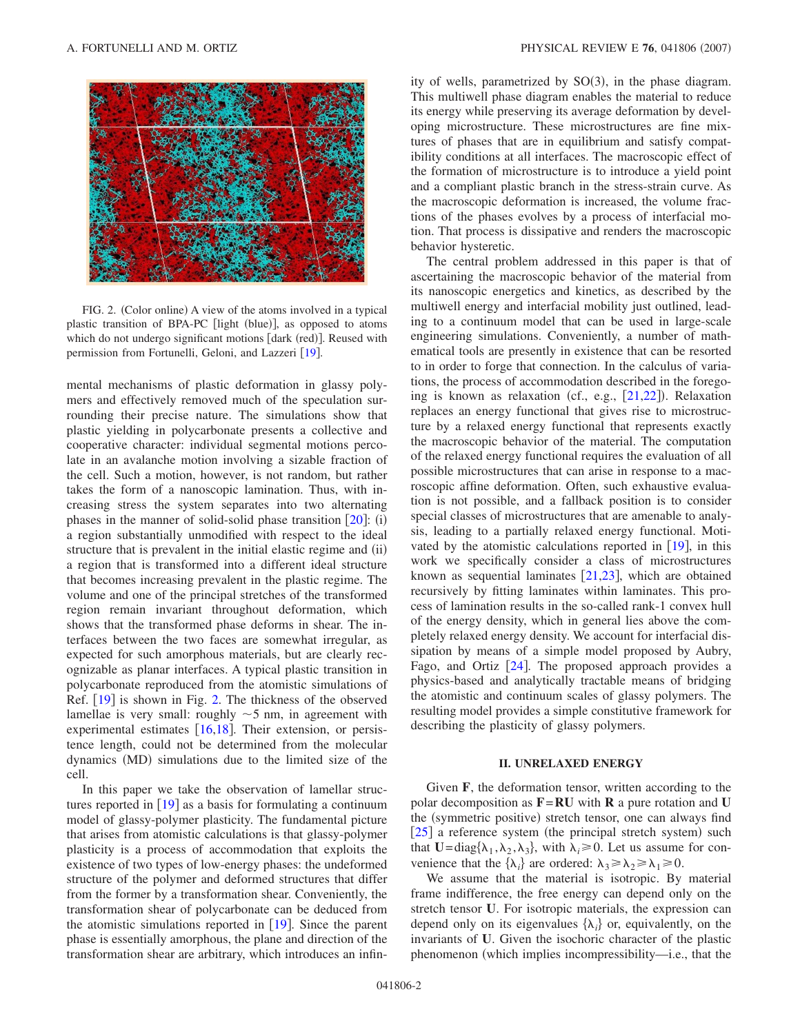<span id="page-1-0"></span>

FIG. 2. (Color online) A view of the atoms involved in a typical plastic transition of BPA-PC [light (blue)], as opposed to atoms which do not undergo significant motions [dark (red)]. Reused with permission from Fortunelli, Geloni, and Lazzeri [[19](#page-13-14)].

mental mechanisms of plastic deformation in glassy polymers and effectively removed much of the speculation surrounding their precise nature. The simulations show that plastic yielding in polycarbonate presents a collective and cooperative character: individual segmental motions percolate in an avalanche motion involving a sizable fraction of the cell. Such a motion, however, is not random, but rather takes the form of a nanoscopic lamination. Thus, with increasing stress the system separates into two alternating phases in the manner of solid-solid phase transition  $[20]$  $[20]$  $[20]$ : (i) a region substantially unmodified with respect to the ideal structure that is prevalent in the initial elastic regime and (ii) a region that is transformed into a different ideal structure that becomes increasing prevalent in the plastic regime. The volume and one of the principal stretches of the transformed region remain invariant throughout deformation, which shows that the transformed phase deforms in shear. The interfaces between the two faces are somewhat irregular, as expected for such amorphous materials, but are clearly recognizable as planar interfaces. A typical plastic transition in polycarbonate reproduced from the atomistic simulations of Ref.  $[19]$  $[19]$  $[19]$  is shown in Fig. [2.](#page-1-0) The thickness of the observed lamellae is very small: roughly  $\sim$  5 nm, in agreement with experimental estimates  $\left[16,18\right]$  $\left[16,18\right]$  $\left[16,18\right]$  $\left[16,18\right]$ . Their extension, or persistence length, could not be determined from the molecular dynamics (MD) simulations due to the limited size of the cell.

In this paper we take the observation of lamellar structures reported in  $[19]$  $[19]$  $[19]$  as a basis for formulating a continuum model of glassy-polymer plasticity. The fundamental picture that arises from atomistic calculations is that glassy-polymer plasticity is a process of accommodation that exploits the existence of two types of low-energy phases: the undeformed structure of the polymer and deformed structures that differ from the former by a transformation shear. Conveniently, the transformation shear of polycarbonate can be deduced from the atomistic simulations reported in  $[19]$  $[19]$  $[19]$ . Since the parent phase is essentially amorphous, the plane and direction of the transformation shear are arbitrary, which introduces an infin-

ity of wells, parametrized by  $SO(3)$ , in the phase diagram. This multiwell phase diagram enables the material to reduce its energy while preserving its average deformation by developing microstructure. These microstructures are fine mixtures of phases that are in equilibrium and satisfy compatibility conditions at all interfaces. The macroscopic effect of the formation of microstructure is to introduce a yield point and a compliant plastic branch in the stress-strain curve. As the macroscopic deformation is increased, the volume fractions of the phases evolves by a process of interfacial motion. That process is dissipative and renders the macroscopic behavior hysteretic.

The central problem addressed in this paper is that of ascertaining the macroscopic behavior of the material from its nanoscopic energetics and kinetics, as described by the multiwell energy and interfacial mobility just outlined, leading to a continuum model that can be used in large-scale engineering simulations. Conveniently, a number of mathematical tools are presently in existence that can be resorted to in order to forge that connection. In the calculus of variations, the process of accommodation described in the forego-ing is known as relaxation (cf., e.g., [[21,](#page-13-17)[22](#page-13-18)]). Relaxation replaces an energy functional that gives rise to microstructure by a relaxed energy functional that represents exactly the macroscopic behavior of the material. The computation of the relaxed energy functional requires the evaluation of all possible microstructures that can arise in response to a macroscopic affine deformation. Often, such exhaustive evaluation is not possible, and a fallback position is to consider special classes of microstructures that are amenable to analysis, leading to a partially relaxed energy functional. Motivated by the atomistic calculations reported in  $[19]$  $[19]$  $[19]$ , in this work we specifically consider a class of microstructures known as sequential laminates  $\lceil 21, 23 \rceil$  $\lceil 21, 23 \rceil$  $\lceil 21, 23 \rceil$ , which are obtained recursively by fitting laminates within laminates. This process of lamination results in the so-called rank-1 convex hull of the energy density, which in general lies above the completely relaxed energy density. We account for interfacial dissipation by means of a simple model proposed by Aubry, Fago, and Ortiz  $[24]$  $[24]$  $[24]$ . The proposed approach provides a physics-based and analytically tractable means of bridging the atomistic and continuum scales of glassy polymers. The resulting model provides a simple constitutive framework for describing the plasticity of glassy polymers.

### **II. UNRELAXED ENERGY**

Given **F**, the deformation tensor, written according to the polar decomposition as **F**=**RU** with **R** a pure rotation and **U** the (symmetric positive) stretch tensor, one can always find [[25](#page-13-21)] a reference system (the principal stretch system) such that  $\mathbf{U} = \text{diag}\{\lambda_1, \lambda_2, \lambda_3\}$ , with  $\lambda_i \geq 0$ . Let us assume for convenience that the  $\{\lambda_i\}$  are ordered:  $\lambda_3 \ge \lambda_2 \ge \lambda_1 \ge 0$ .

We assume that the material is isotropic. By material frame indifference, the free energy can depend only on the stretch tensor **U**. For isotropic materials, the expression can depend only on its eigenvalues  $\{\lambda_i\}$  or, equivalently, on the invariants of **U**. Given the isochoric character of the plastic phenomenon (which implies incompressibility—i.e., that the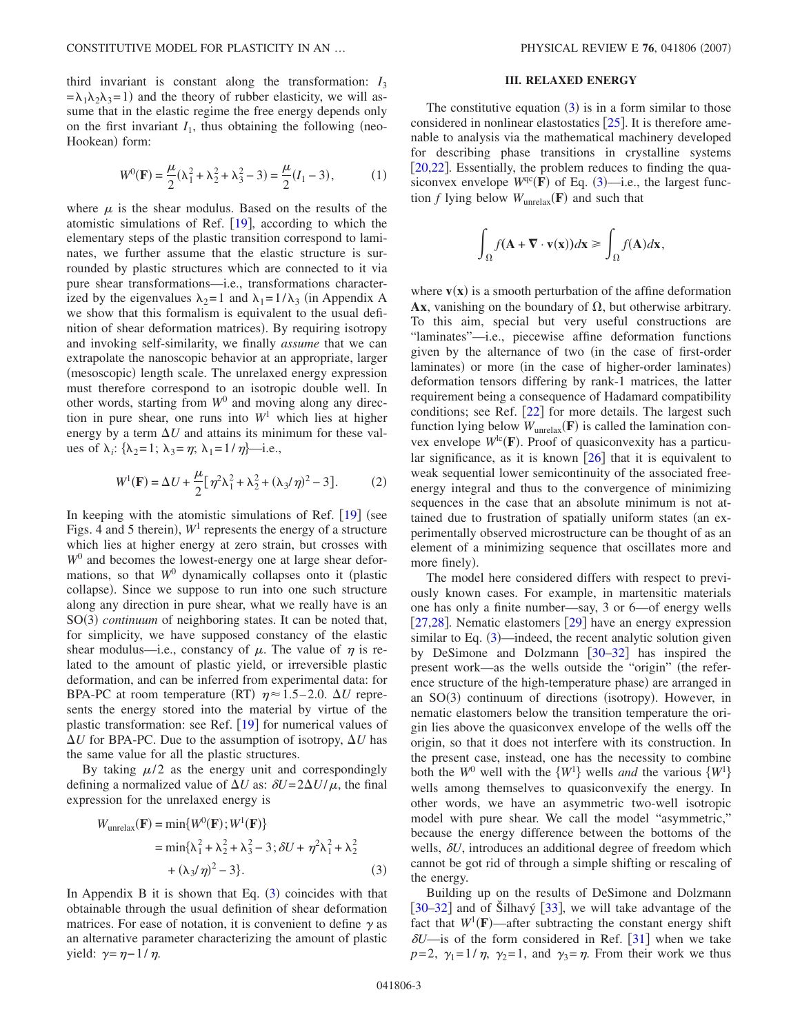third invariant is constant along the transformation:  $I_3$  $= \lambda_1 \lambda_2 \lambda_3 = 1$ ) and the theory of rubber elasticity, we will assume that in the elastic regime the free energy depends only on the first invariant  $I_1$ , thus obtaining the following (neo-Hookean) form:

$$
W^{0}(\mathbf{F}) = \frac{\mu}{2}(\lambda_{1}^{2} + \lambda_{2}^{2} + \lambda_{3}^{2} - 3) = \frac{\mu}{2}(I_{1} - 3),
$$
 (1)

where  $\mu$  is the shear modulus. Based on the results of the atomistic simulations of Ref.  $[19]$  $[19]$  $[19]$ , according to which the elementary steps of the plastic transition correspond to laminates, we further assume that the elastic structure is surrounded by plastic structures which are connected to it via pure shear transformations—i.e., transformations characterized by the eigenvalues  $\lambda_2=1$  and  $\lambda_1=1/\lambda_3$  (in Appendix A we show that this formalism is equivalent to the usual definition of shear deformation matrices). By requiring isotropy and invoking self-similarity, we finally *assume* that we can extrapolate the nanoscopic behavior at an appropriate, larger (mesoscopic) length scale. The unrelaxed energy expression must therefore correspond to an isotropic double well. In other words, starting from  $W^0$  and moving along any direction in pure shear, one runs into  $W<sup>1</sup>$  which lies at higher energy by a term  $\Delta U$  and attains its minimum for these values of  $\lambda_i$ : { $\lambda_2=1$ ;  $\lambda_3=\eta$ ;  $\lambda_1=1/\eta$ }—i.e.,

$$
W^{1}(\mathbf{F}) = \Delta U + \frac{\mu}{2} [\eta^{2} \lambda_{1}^{2} + \lambda_{2}^{2} + (\lambda_{3}/\eta)^{2} - 3].
$$
 (2)

In keeping with the atomistic simulations of Ref.  $[19]$  $[19]$  $[19]$  (see Figs. 4 and 5 therein),  $W^1$  represents the energy of a structure which lies at higher energy at zero strain, but crosses with *W*<sup>0</sup> and becomes the lowest-energy one at large shear deformations, so that  $W^0$  dynamically collapses onto it (plastic collapse). Since we suppose to run into one such structure along any direction in pure shear, what we really have is an SO(3) continuum of neighboring states. It can be noted that, for simplicity, we have supposed constancy of the elastic shear modulus—i.e., constancy of  $\mu$ . The value of  $\eta$  is related to the amount of plastic yield, or irreversible plastic deformation, and can be inferred from experimental data: for BPA-PC at room temperature (RT)  $\eta \approx 1.5-2.0$ .  $\Delta U$  represents the energy stored into the material by virtue of the plastic transformation: see Ref.  $[19]$  $[19]$  $[19]$  for numerical values of  $\Delta U$  for BPA-PC. Due to the assumption of isotropy,  $\Delta U$  has the same value for all the plastic structures.

By taking  $\mu/2$  as the energy unit and correspondingly defining a normalized value of  $\Delta U$  as:  $\delta U = 2\Delta U/\mu$ , the final expression for the unrelaxed energy is

<span id="page-2-0"></span>
$$
W_{\text{unrelax}}(\mathbf{F}) = \min\{W^{0}(\mathbf{F}); W^{1}(\mathbf{F})\}
$$
  
=  $\min\{\lambda_{1}^{2} + \lambda_{2}^{2} + \lambda_{3}^{2} - 3; \delta U + \eta^{2} \lambda_{1}^{2} + \lambda_{2}^{2} + (\lambda_{3}/\eta)^{2} - 3\}.$  (3)

In Appendix B it is shown that Eq.  $(3)$  $(3)$  $(3)$  coincides with that obtainable through the usual definition of shear deformation matrices. For ease of notation, it is convenient to define  $\gamma$  as an alternative parameter characterizing the amount of plastic yield:  $\gamma = \eta - 1/\eta$ .

## **III. RELAXED ENERGY**

The constitutive equation  $(3)$  $(3)$  $(3)$  is in a form similar to those considered in nonlinear elastostatics  $\lceil 25 \rceil$  $\lceil 25 \rceil$  $\lceil 25 \rceil$ . It is therefore amenable to analysis via the mathematical machinery developed for describing phase transitions in crystalline systems  $[20,22]$  $[20,22]$  $[20,22]$  $[20,22]$ . Essentially, the problem reduces to finding the quasiconvex envelope  $W^{qc}(\mathbf{F})$  of Eq. ([3](#page-2-0))—i.e., the largest function *f* lying below  $W_{\text{unrelax}}(\mathbf{F})$  and such that

$$
\int_{\Omega} f(\mathbf{A} + \nabla \cdot \mathbf{v}(\mathbf{x})) d\mathbf{x} \ge \int_{\Omega} f(\mathbf{A}) d\mathbf{x},
$$

where  $\mathbf{v}(\mathbf{x})$  is a smooth perturbation of the affine deformation Ax, vanishing on the boundary of  $\Omega$ , but otherwise arbitrary. To this aim, special but very useful constructions are "laminates"—i.e., piecewise affine deformation functions given by the alternance of two (in the case of first-order laminates) or more (in the case of higher-order laminates) deformation tensors differing by rank-1 matrices, the latter requirement being a consequence of Hadamard compatibility conditions; see Ref.  $[22]$  $[22]$  $[22]$  for more details. The largest such function lying below  $W_{\text{unrelax}}(\mathbf{F})$  is called the lamination convex envelope  $W^{\text{lc}}(\mathbf{F})$ . Proof of quasiconvexity has a particular significance, as it is known  $\lceil 26 \rceil$  $\lceil 26 \rceil$  $\lceil 26 \rceil$  that it is equivalent to weak sequential lower semicontinuity of the associated freeenergy integral and thus to the convergence of minimizing sequences in the case that an absolute minimum is not attained due to frustration of spatially uniform states (an experimentally observed microstructure can be thought of as an element of a minimizing sequence that oscillates more and more finely).

The model here considered differs with respect to previously known cases. For example, in martensitic materials one has only a finite number—say, 3 or 6—of energy wells [[27](#page-13-23)[,28](#page-13-24)]. Nematic elastomers  $[29]$  $[29]$  $[29]$  have an energy expression similar to Eq.  $(3)$  $(3)$  $(3)$ —indeed, the recent analytic solution given by DeSimone and Dolzmann [[30](#page-13-26)[–32](#page-13-27)] has inspired the present work—as the wells outside the "origin" (the reference structure of the high-temperature phase) are arranged in an SO(3) continuum of directions (isotropy). However, in nematic elastomers below the transition temperature the origin lies above the quasiconvex envelope of the wells off the origin, so that it does not interfere with its construction. In the present case, instead, one has the necessity to combine both the  $W^0$  well with the  $\{W^1\}$  wells *and* the various  $\{W^1\}$ wells among themselves to quasiconvexify the energy. In other words, we have an asymmetric two-well isotropic model with pure shear. We call the model "asymmetric," because the energy difference between the bottoms of the wells,  $\delta U$ , introduces an additional degree of freedom which cannot be got rid of through a simple shifting or rescaling of the energy.

Building up on the results of DeSimone and Dolzmann  $\left[30-32\right]$  $\left[30-32\right]$  $\left[30-32\right]$  and of Silhavý  $\left[33\right]$  $\left[33\right]$  $\left[33\right]$ , we will take advantage of the fact that  $W^1(\mathbf{F})$ —after subtracting the constant energy shift  $\delta U$ —is of the form considered in Ref. [[31](#page-13-29)] when we take  $p=2$ ,  $\gamma_1=1/\eta$ ,  $\gamma_2=1$ , and  $\gamma_3=\eta$ . From their work we thus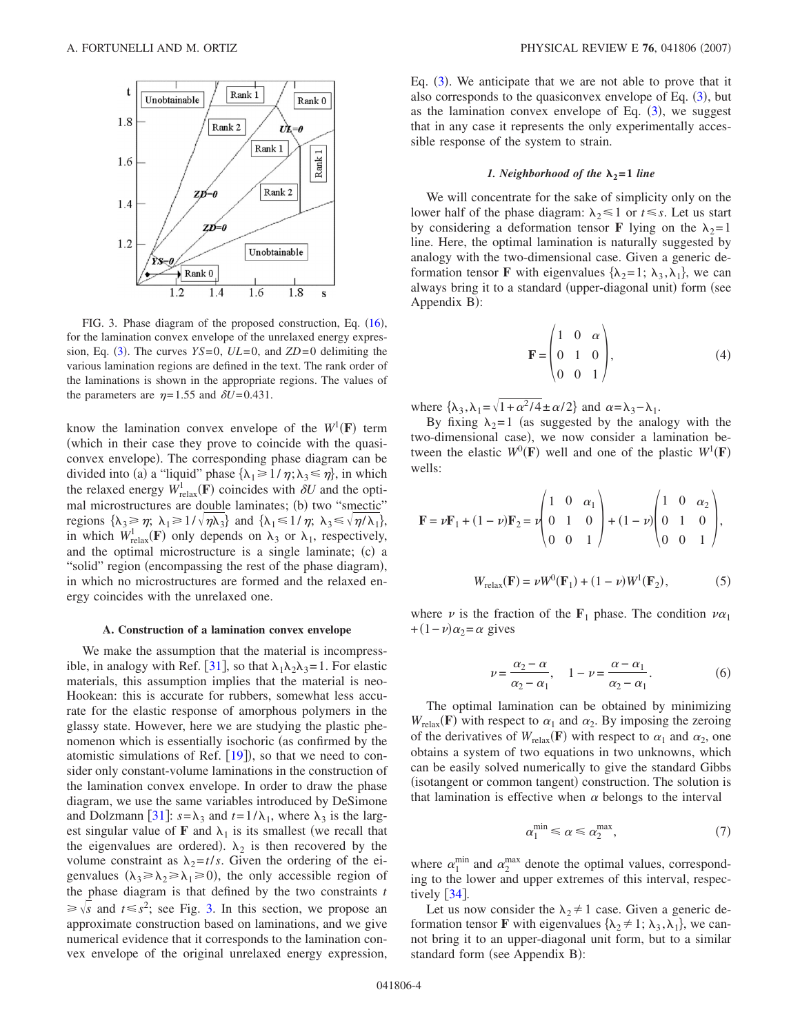<span id="page-3-0"></span>

FIG. 3. Phase diagram of the proposed construction, Eq. ([16](#page-5-0)), for the lamination convex envelope of the unrelaxed energy expres-sion, Eq. ([3](#page-2-0)). The curves  $YS=0$ ,  $UL=0$ , and  $ZD=0$  delimiting the various lamination regions are defined in the text. The rank order of the laminations is shown in the appropriate regions. The values of the parameters are  $\eta = 1.55$  and  $\delta U = 0.431$ .

know the lamination convex envelope of the  $W^1(\mathbf{F})$  term which in their case they prove to coincide with the quasiconvex envelope). The corresponding phase diagram can be divided into (a) a "liquid" phase  $\{\lambda_1 \geq 1/\eta; \lambda_3 \leq \eta\}$ , in which the relaxed energy  $W_{\text{relax}}^1(\mathbf{F})$  coincides with  $\delta U$  and the optimal microstructures are double laminates; (b) two "smectic" regions  $\{\lambda_3 \ge \eta; \lambda_1 \ge 1/\sqrt{\eta \lambda_3}\}$  and  $\{\lambda_1 \le 1/\eta; \lambda_3 \le \sqrt{\eta/\lambda_1}\}$ in which  $W_{\text{relax}}^1(\mathbf{F})$  only depends on  $\lambda_3$  or  $\lambda_1$ , respectively, and the optimal microstructure is a single laminate; (c) a "solid" region (encompassing the rest of the phase diagram), in which no microstructures are formed and the relaxed energy coincides with the unrelaxed one.

#### **A. Construction of a lamination convex envelope**

We make the assumption that the material is incompress-ible, in analogy with Ref. [[31](#page-13-29)], so that  $\lambda_1 \lambda_2 \lambda_3 = 1$ . For elastic materials, this assumption implies that the material is neo-Hookean: this is accurate for rubbers, somewhat less accurate for the elastic response of amorphous polymers in the glassy state. However, here we are studying the plastic phenomenon which is essentially isochoric (as confirmed by the atomistic simulations of Ref.  $[19]$  $[19]$  $[19]$ ), so that we need to consider only constant-volume laminations in the construction of the lamination convex envelope. In order to draw the phase diagram, we use the same variables introduced by DeSimone and Dolzmann [[31](#page-13-29)]:  $s = \lambda_3$  and  $t = 1/\lambda_1$ , where  $\lambda_3$  is the largest singular value of  $\mathbf{F}$  and  $\lambda_1$  is its smallest (we recall that the eigenvalues are ordered).  $\lambda_2$  is then recovered by the volume constraint as  $\lambda_2 = t/s$ . Given the ordering of the eigenvalues  $(\lambda_3 \ge \lambda_2 \ge \lambda_1 \ge 0)$ , the only accessible region of the phase diagram is that defined by the two constraints *t*  $\geq \sqrt{s}$  and  $t \leq s^2$ ; see Fig. [3.](#page-3-0) In this section, we propose an approximate construction based on laminations, and we give numerical evidence that it corresponds to the lamination convex envelope of the original unrelaxed energy expression,

Eq.  $(3)$  $(3)$  $(3)$ . We anticipate that we are not able to prove that it also corresponds to the quasiconvex envelope of Eq.  $(3)$  $(3)$  $(3)$ , but as the lamination convex envelope of Eq.  $(3)$  $(3)$  $(3)$ , we suggest that in any case it represents the only experimentally accessible response of the system to strain.

# 1. Neighborhood of the  $\lambda_2 = 1$  line

We will concentrate for the sake of simplicity only on the lower half of the phase diagram:  $\lambda_2 \leq 1$  or  $t \leq s$ . Let us start by considering a deformation tensor **F** lying on the  $\lambda_2=1$ line. Here, the optimal lamination is naturally suggested by analogy with the two-dimensional case. Given a generic deformation tensor **F** with eigenvalues  $\{\lambda_2=1; \lambda_3, \lambda_1\}$ , we can always bring it to a standard (upper-diagonal unit) form (see Appendix B):

$$
\mathbf{F} = \begin{pmatrix} 1 & 0 & \alpha \\ 0 & 1 & 0 \\ 0 & 0 & 1 \end{pmatrix},
$$
 (4)

where  $\{\lambda_3, \lambda_1 = \sqrt{1 + \alpha^2/4} \pm \alpha/2\}$  and  $\alpha = \lambda_3 - \lambda_1$ .

By fixing  $\lambda_2=1$  (as suggested by the analogy with the two-dimensional case), we now consider a lamination between the elastic  $W^0$ (**F**) well and one of the plastic  $W^1$ (**F**) wells:

$$
\mathbf{F} = \nu \mathbf{F}_1 + (1 - \nu) \mathbf{F}_2 = \nu \begin{pmatrix} 1 & 0 & \alpha_1 \\ 0 & 1 & 0 \\ 0 & 0 & 1 \end{pmatrix} + (1 - \nu) \begin{pmatrix} 1 & 0 & \alpha_2 \\ 0 & 1 & 0 \\ 0 & 0 & 1 \end{pmatrix},
$$

$$
W_{\text{relax}}(\mathbf{F}) = \nu W^{0}(\mathbf{F}_{1}) + (1 - \nu)W^{1}(\mathbf{F}_{2}), \tag{5}
$$

<span id="page-3-1"></span>where  $\nu$  is the fraction of the  $\mathbf{F}_1$  phase. The condition  $\nu \alpha_1$  $+(1-\nu)\alpha_2 = \alpha$  gives

$$
\nu = \frac{\alpha_2 - \alpha}{\alpha_2 - \alpha_1}, \quad 1 - \nu = \frac{\alpha - \alpha_1}{\alpha_2 - \alpha_1}.
$$
 (6)

The optimal lamination can be obtained by minimizing  $W_{\text{relax}}(\mathbf{F})$  with respect to  $\alpha_1$  and  $\alpha_2$ . By imposing the zeroing of the derivatives of  $W_{\text{relax}}(\mathbf{F})$  with respect to  $\alpha_1$  and  $\alpha_2$ , one obtains a system of two equations in two unknowns, which can be easily solved numerically to give the standard Gibbs (isotangent or common tangent) construction. The solution is that lamination is effective when  $\alpha$  belongs to the interval

$$
\alpha_1^{\min} \leq \alpha \leq \alpha_2^{\max},\tag{7}
$$

where  $\alpha_1^{\text{min}}$  and  $\alpha_2^{\text{max}}$  denote the optimal values, corresponding to the lower and upper extremes of this interval, respectively  $|34|$  $|34|$  $|34|$ .

Let us now consider the  $\lambda_2 \neq 1$  case. Given a generic deformation tensor **F** with eigenvalues  $\{\lambda_2 \neq 1; \lambda_3, \lambda_1\}$ , we cannot bring it to an upper-diagonal unit form, but to a similar standard form (see Appendix B):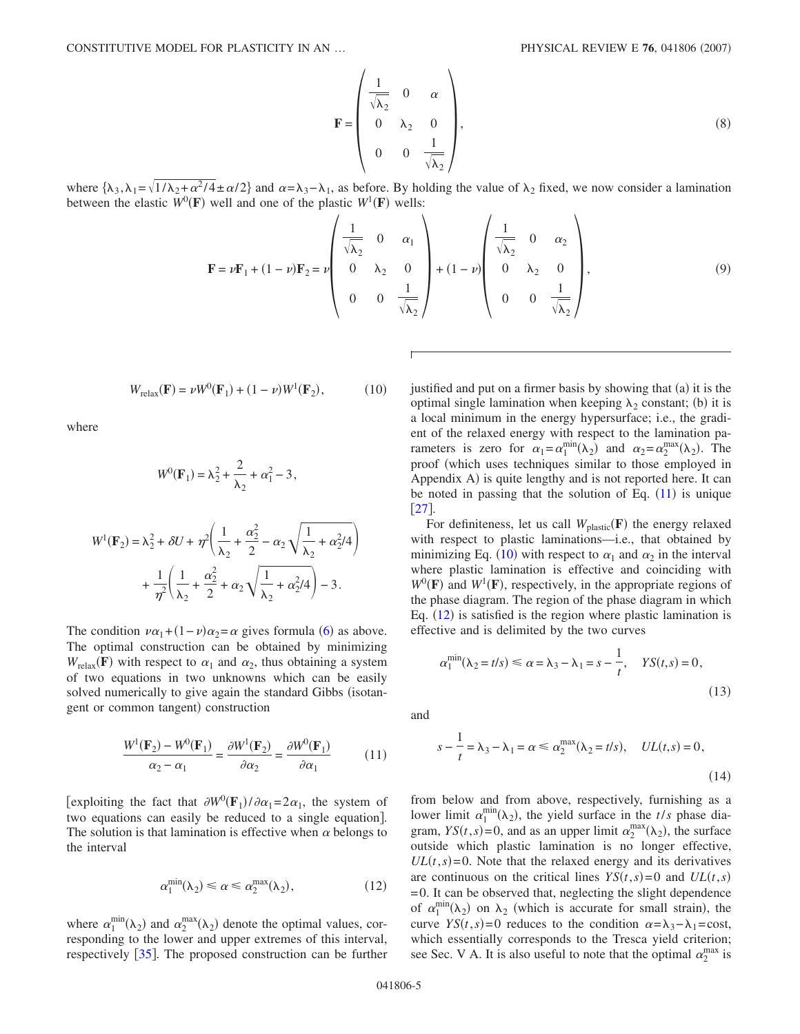$$
\mathbf{F} = \begin{pmatrix} \frac{1}{\sqrt{\lambda_2}} & 0 & \alpha \\ 0 & \lambda_2 & 0 \\ 0 & 0 & \frac{1}{\sqrt{\lambda_2}} \end{pmatrix},
$$
(8)

where  $\{\lambda_3, \lambda_1 = \sqrt{1/\lambda_2 + \alpha^2/4} \pm \alpha/2\}$  and  $\alpha = \lambda_3 - \lambda_1$ , as before. By holding the value of  $\lambda_2$  fixed, we now consider a lamination between the elastic  $W^0$ (**F**) well and one of the plastic  $W^1$ (**F**) wells:

 $\overline{1}$ 

$$
\mathbf{F} = \nu \mathbf{F}_1 + (1 - \nu) \mathbf{F}_2 = \nu \begin{pmatrix} \frac{1}{\sqrt{\lambda_2}} & 0 & \alpha_1 \\ 0 & \lambda_2 & 0 \\ 0 & 0 & \frac{1}{\sqrt{\lambda_2}} \end{pmatrix} + (1 - \nu) \begin{pmatrix} \frac{1}{\sqrt{\lambda_2}} & 0 & \alpha_2 \\ 0 & \lambda_2 & 0 \\ 0 & 0 & \frac{1}{\sqrt{\lambda_2}} \end{pmatrix},
$$
(9)

 $\overline{ }$ 

$$
W_{\text{relax}}(\mathbf{F}) = \nu W^0(\mathbf{F}_1) + (1 - \nu) W^1(\mathbf{F}_2),\tag{10}
$$

<span id="page-4-1"></span>where

$$
W^{0}(\mathbf{F}_{1}) = \lambda_{2}^{2} + \frac{2}{\lambda_{2}} + \alpha_{1}^{2} - 3,
$$
  

$$
W^{1}(\mathbf{F}_{2}) = \lambda_{2}^{2} + \delta U + \eta^{2} \left( \frac{1}{\lambda_{2}} + \frac{\alpha_{2}^{2}}{2} - \alpha_{2} \sqrt{\frac{1}{\lambda_{2}} + \alpha_{2}^{2}/4} \right)
$$

$$
+ \frac{1}{\eta^{2}} \left( \frac{1}{\lambda_{2}} + \frac{\alpha_{2}^{2}}{2} + \alpha_{2} \sqrt{\frac{1}{\lambda_{2}} + \alpha_{2}^{2}/4} \right) - 3.
$$

The condition  $\nu\alpha_1 + (1 - \nu)\alpha_2 = \alpha$  gives formula ([6](#page-3-1)) as above. The optimal construction can be obtained by minimizing  $W_{\text{relax}}(\mathbf{F})$  with respect to  $\alpha_1$  and  $\alpha_2$ , thus obtaining a system of two equations in two unknowns which can be easily solved numerically to give again the standard Gibbs (isotangent or common tangent) construction

$$
\frac{W^1(\mathbf{F}_2) - W^0(\mathbf{F}_1)}{\alpha_2 - \alpha_1} = \frac{\partial W^1(\mathbf{F}_2)}{\partial \alpha_2} = \frac{\partial W^0(\mathbf{F}_1)}{\partial \alpha_1} \tag{11}
$$

<span id="page-4-0"></span>[exploiting the fact that  $\partial W^0(\mathbf{F}_1) / \partial \alpha_1 = 2\alpha_1$ , the system of two equations can easily be reduced to a single equation. The solution is that lamination is effective when  $\alpha$  belongs to the interval

$$
\alpha_1^{\min}(\lambda_2) \le \alpha \le \alpha_2^{\max}(\lambda_2),\tag{12}
$$

<span id="page-4-2"></span>where  $\alpha_1^{\min}(\lambda_2)$  and  $\alpha_2^{\max}(\lambda_2)$  denote the optimal values, corresponding to the lower and upper extremes of this interval, respectively  $[35]$  $[35]$  $[35]$ . The proposed construction can be further

justified and put on a firmer basis by showing that (a) it is the optimal single lamination when keeping  $\lambda_2$  constant; (b) it is a local minimum in the energy hypersurface; i.e., the gradient of the relaxed energy with respect to the lamination parameters is zero for  $\alpha_1 = \alpha_1^{\min}(\lambda_2)$  and  $\alpha_2 = \alpha_2^{\max}(\lambda_2)$ . The proof (which uses techniques similar to those employed in Appendix A) is quite lengthy and is not reported here. It can be noted in passing that the solution of Eq.  $(11)$  $(11)$  $(11)$  is unique  $\left[27\right]$  $\left[27\right]$  $\left[27\right]$ .

For definiteness, let us call  $W_{\text{plastic}}(\mathbf{F})$  the energy relaxed with respect to plastic laminations—i.e., that obtained by minimizing Eq. ([10](#page-4-1)) with respect to  $\alpha_1$  and  $\alpha_2$  in the interval where plastic lamination is effective and coinciding with  $W^0$ (**F**) and  $W^1$ (**F**), respectively, in the appropriate regions of the phase diagram. The region of the phase diagram in which Eq.  $(12)$  $(12)$  $(12)$  is satisfied is the region where plastic lamination is effective and is delimited by the two curves

$$
\alpha_1^{\min}(\lambda_2 = t/s) \le \alpha = \lambda_3 - \lambda_1 = s - \frac{1}{t}, \quad YS(t,s) = 0,
$$
\n(13)

and

$$
s - \frac{1}{t} = \lambda_3 - \lambda_1 = \alpha \le \alpha_2^{\max}(\lambda_2 = t/s), \quad UL(t,s) = 0,
$$
\n(14)

from below and from above, respectively, furnishing as a lower limit  $\alpha_1^{\min}(\lambda_2)$ , the yield surface in the *t/s* phase diagram,  $YS(t, s) = 0$ , and as an upper limit  $\alpha_2^{\max}(\lambda_2)$ , the surface outside which plastic lamination is no longer effective,  $UL(t, s) = 0$ . Note that the relaxed energy and its derivatives are continuous on the critical lines  $YS(t, s) = 0$  and  $UL(t, s)$ =0. It can be observed that, neglecting the slight dependence of  $\alpha_1^{\min}(\lambda_2)$  on  $\lambda_2$  (which is accurate for small strain), the curve  $YS(t,s)=0$  reduces to the condition  $\alpha = \lambda_3 - \lambda_1 = \text{cost}$ , which essentially corresponds to the Tresca yield criterion; see Sec. V A. It is also useful to note that the optimal  $\alpha_2^{\max}$  is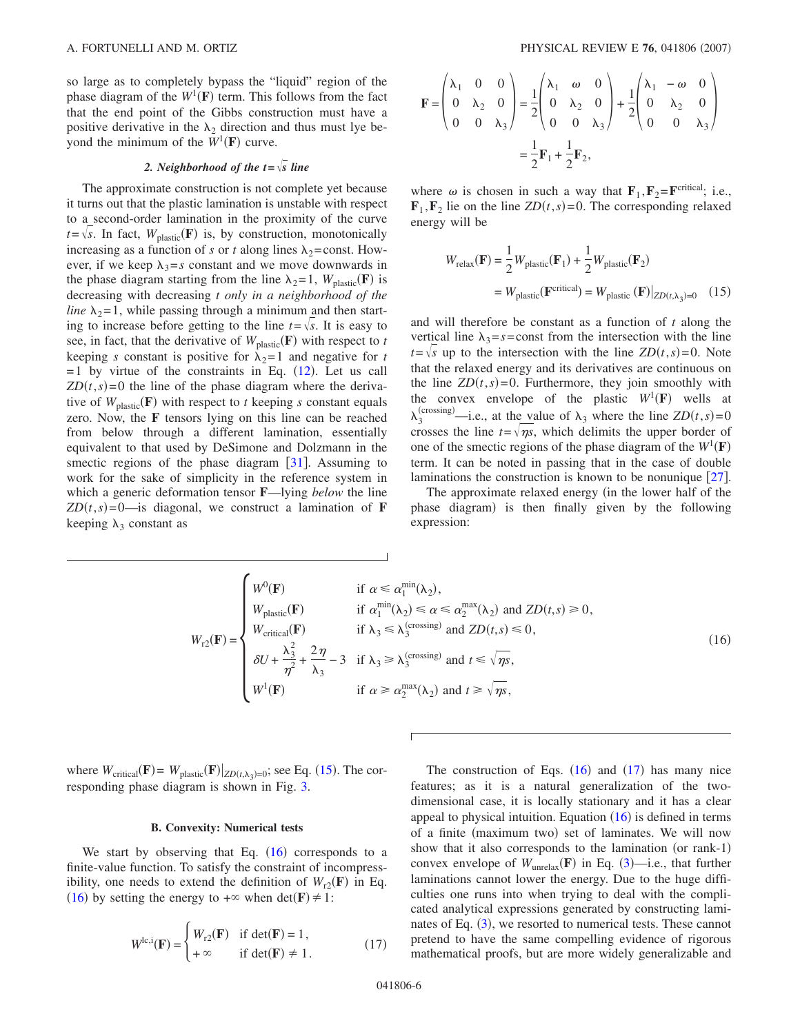so large as to completely bypass the "liquid" region of the phase diagram of the  $W^1(\mathbf{F})$  term. This follows from the fact that the end point of the Gibbs construction must have a positive derivative in the  $\lambda_2$  direction and thus must lye beyond the minimum of the  $W^1(\mathbf{F})$  curve.

# 2. Neighborhood of the  $t = \sqrt{s}$  line

The approximate construction is not complete yet because it turns out that the plastic lamination is unstable with respect to a second-order lamination in the proximity of the curve  $t = \sqrt{s}$ . In fact,  $W_{\text{plastic}}(\mathbf{F})$  is, by construction, monotonically increasing as a function of *s* or *t* along lines  $\lambda_2$ =const. However, if we keep  $\lambda_3 = s$  constant and we move downwards in the phase diagram starting from the line  $\lambda_2 = 1$ ,  $W_{\text{plastic}}(\mathbf{F})$  is decreasing with decreasing *t only in a neighborhood of the line*  $\lambda_2 = 1$ , while passing through a minimum and then starting to increase before getting to the line  $t = \sqrt{s}$ . It is easy to see, in fact, that the derivative of  $W_{\text{plastic}}(\mathbf{F})$  with respect to *t* keeping *s* constant is positive for  $\lambda_2=1$  and negative for *t*  $=1$  by virtue of the constraints in Eq. ([12](#page-4-2)). Let us call  $ZD(t,s)=0$  the line of the phase diagram where the derivative of  $W_{\text{plastic}}(\mathbf{F})$  with respect to *t* keeping *s* constant equals zero. Now, the **F** tensors lying on this line can be reached from below through a different lamination, essentially equivalent to that used by DeSimone and Dolzmann in the smectic regions of the phase diagram  $[31]$  $[31]$  $[31]$ . Assuming to work for the sake of simplicity in the reference system in which a generic deformation tensor **F**—lying *below* the line  $ZD(t,s) = 0$ —is diagonal, we construct a lamination of **F** keeping  $\lambda_3$  constant as

$$
\mathbf{F} = \begin{pmatrix} \lambda_1 & 0 & 0 \\ 0 & \lambda_2 & 0 \\ 0 & 0 & \lambda_3 \end{pmatrix} = \frac{1}{2} \begin{pmatrix} \lambda_1 & \omega & 0 \\ 0 & \lambda_2 & 0 \\ 0 & 0 & \lambda_3 \end{pmatrix} + \frac{1}{2} \begin{pmatrix} \lambda_1 & -\omega & 0 \\ 0 & \lambda_2 & 0 \\ 0 & 0 & \lambda_3 \end{pmatrix}
$$

$$
= \frac{1}{2} \mathbf{F}_1 + \frac{1}{2} \mathbf{F}_2,
$$

where  $\omega$  is chosen in such a way that  $\mathbf{F}_1, \mathbf{F}_2 = \mathbf{F}^{\text{critical}}$ ; i.e.,  $\mathbf{F}_1, \mathbf{F}_2$  lie on the line *ZD*(*t*,*s*)=0. The corresponding relaxed energy will be

<span id="page-5-1"></span>
$$
W_{\text{relax}}(\mathbf{F}) = \frac{1}{2} W_{\text{plastic}}(\mathbf{F}_1) + \frac{1}{2} W_{\text{plastic}}(\mathbf{F}_2)
$$
  
=  $W_{\text{plastic}}(\mathbf{F}^{\text{critical}}) = W_{\text{plastic}}(\mathbf{F})|_{ZD(t,\lambda_3)=0}$  (15)

and will therefore be constant as a function of *t* along the vertical line  $\lambda_3 = s = \text{const}$  from the intersection with the line  $t = \sqrt{s}$  up to the intersection with the line *ZD*(*t*,*s*)=0. Note that the relaxed energy and its derivatives are continuous on the line  $ZD(t, s) = 0$ . Furthermore, they join smoothly with the convex envelope of the plastic  $W^1(\mathbf{F})$  wells at  $\lambda_3^{\text{(crossing)}}$ —i.e., at the value of  $\lambda_3$  where the line  $ZD(t,s)=0$ crosses the line  $t = \sqrt{\gamma s}$ , which delimits the upper border of one of the smectic regions of the phase diagram of the  $W^1(\mathbf{F})$ term. It can be noted in passing that in the case of double laminations the construction is known to be nonunique  $[27]$  $[27]$  $[27]$ .

The approximate relaxed energy (in the lower half of the phase diagram) is then finally given by the following expression:

<span id="page-5-0"></span>
$$
W_{\text{plastic}}(\mathbf{F}) = \begin{cases} W^{0}(\mathbf{F}) & \text{if } \alpha \leq \alpha_{1}^{\min}(\lambda_{2}), \\ W_{\text{plastic}}(\mathbf{F}) & \text{if } \alpha_{1}^{\min}(\lambda_{2}) \leq \alpha \leq \alpha_{2}^{\max}(\lambda_{2}) \text{ and } ZD(t,s) \geq 0, \\ W_{\text{critical}}(\mathbf{F}) & \text{if } \lambda_{3} \leq \lambda_{3}^{\text{(crossing)}} \text{ and } ZD(t,s) \leq 0, \\ \delta U + \frac{\lambda_{3}^{2}}{\eta^{2}} + \frac{2\eta}{\lambda_{3}} - 3 & \text{if } \lambda_{3} \geq \lambda_{3}^{\text{(crossing)}} \text{ and } t \leq \sqrt{\eta s}, \\ W^{1}(\mathbf{F}) & \text{if } \alpha \geq \alpha_{2}^{\max}(\lambda_{2}) \text{ and } t \geq \sqrt{\eta s}, \end{cases} \tag{16}
$$

where  $W_{critical}(\mathbf{F}) = W_{plastic}(\mathbf{F})|_{ZD(t,\lambda_3)=0}$ ; see Eq. ([15](#page-5-1)). The corresponding phase diagram is shown in Fig. [3.](#page-3-0)

# **B. Convexity: Numerical tests**

We start by observing that Eq.  $(16)$  $(16)$  $(16)$  corresponds to a finite-value function. To satisfy the constraint of incompressibility, one needs to extend the definition of  $W_{r2}(\mathbf{F})$  in Eq. ([16](#page-5-0)) by setting the energy to  $+\infty$  when det(**F**)  $\neq$  1:

<span id="page-5-2"></span>
$$
W^{\text{lc},i}(\mathbf{F}) = \begin{cases} W_{\text{r2}}(\mathbf{F}) & \text{if } \det(\mathbf{F}) = 1, \\ +\infty & \text{if } \det(\mathbf{F}) \neq 1. \end{cases}
$$
 (17)

The construction of Eqs.  $(16)$  $(16)$  $(16)$  and  $(17)$  $(17)$  $(17)$  has many nice features; as it is a natural generalization of the twodimensional case, it is locally stationary and it has a clear appeal to physical intuition. Equation  $(16)$  $(16)$  $(16)$  is defined in terms of a finite (maximum two) set of laminates. We will now show that it also corresponds to the lamination (or rank-1) convex envelope of  $W_{\text{unrelax}}(\mathbf{F})$  in Eq. ([3](#page-2-0))—i.e., that further laminations cannot lower the energy. Due to the huge difficulties one runs into when trying to deal with the complicated analytical expressions generated by constructing laminates of Eq.  $(3)$  $(3)$  $(3)$ , we resorted to numerical tests. These cannot pretend to have the same compelling evidence of rigorous mathematical proofs, but are more widely generalizable and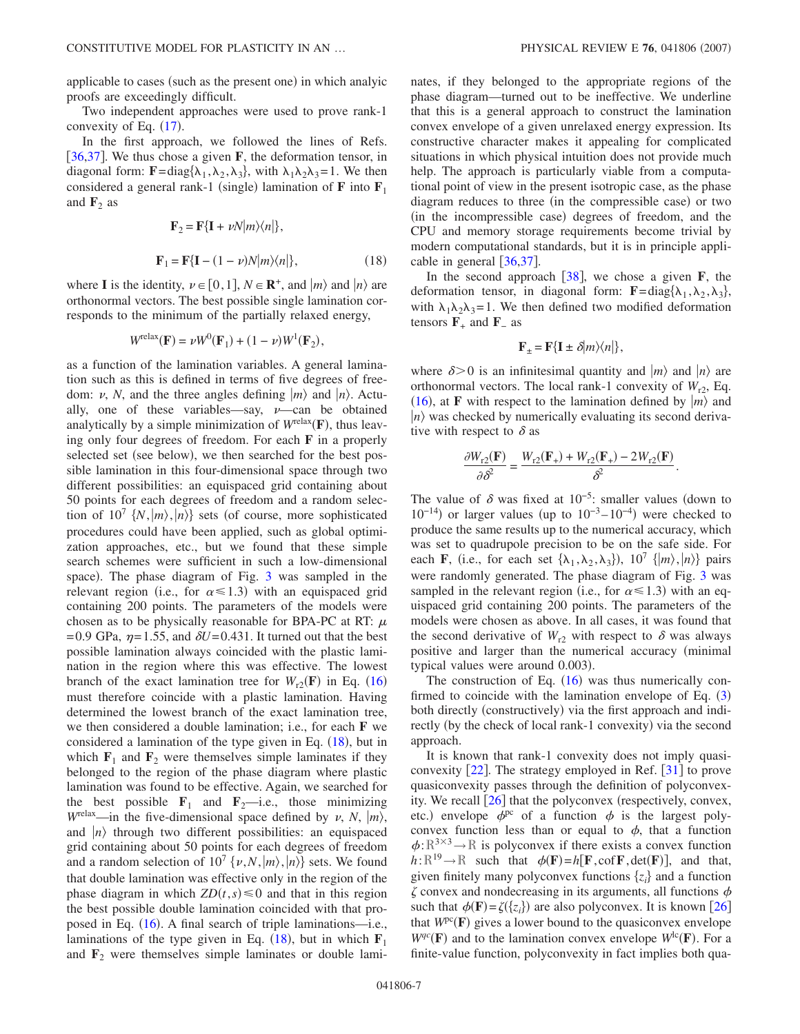applicable to cases (such as the present one) in which analyic proofs are exceedingly difficult.

Two independent approaches were used to prove rank-1 convexity of Eq.  $(17)$  $(17)$  $(17)$ .

In the first approach, we followed the lines of Refs. [[36](#page-13-32)[,37](#page-13-33)]. We thus chose a given **F**, the deformation tensor, in diagonal form: **F**=diag{ $\lambda_1, \lambda_2, \lambda_3$ }, with  $\lambda_1 \lambda_2 \lambda_3 = 1$ . We then considered a general rank-1 (single) lamination of **F** into  $\mathbf{F}_1$ and  $\mathbf{F}_2$  as

$$
\mathbf{F}_2 = \mathbf{F}\{\mathbf{I} + \nu N|m\rangle\langle n|\},
$$
  

$$
\mathbf{F}_1 = \mathbf{F}\{\mathbf{I} - (1 - \nu)N|m\rangle\langle n|\},
$$
 (18)

<span id="page-6-0"></span>where **I** is the identity,  $\nu \in [0,1]$ ,  $N \in \mathbb{R}^+$ , and  $|m\rangle$  and  $|n\rangle$  are orthonormal vectors. The best possible single lamination corresponds to the minimum of the partially relaxed energy,

$$
W^{\text{relax}}(\mathbf{F}) = \nu W^0(\mathbf{F}_1) + (1 - \nu) W^1(\mathbf{F}_2),
$$

as a function of the lamination variables. A general lamination such as this is defined in terms of five degrees of freedom:  $\nu$ , *N*, and the three angles defining  $|m\rangle$  and  $|n\rangle$ . Actually, one of these variables—say,  $\nu$ —can be obtained analytically by a simple minimization of  $W^{\text{relax}}(\mathbf{F})$ , thus leaving only four degrees of freedom. For each **F** in a properly selected set (see below), we then searched for the best possible lamination in this four-dimensional space through two different possibilities: an equispaced grid containing about 50 points for each degrees of freedom and a random selection of  $10^7 \{N, |m\rangle, |n\rangle\}$  sets (of course, more sophisticated procedures could have been applied, such as global optimization approaches, etc., but we found that these simple search schemes were sufficient in such a low-dimensional space). The phase diagram of Fig. [3](#page-3-0) was sampled in the relevant region (i.e., for  $\alpha \le 1.3$ ) with an equispaced grid containing 200 points. The parameters of the models were chosen as to be physically reasonable for BPA-PC at RT:  $\mu$  $=0.9$  GPa,  $\eta = 1.55$ , and  $\delta U = 0.431$ . It turned out that the best possible lamination always coincided with the plastic lamination in the region where this was effective. The lowest branch of the exact lamination tree for  $W_{r2}(\mathbf{F})$  in Eq. ([16](#page-5-0)) must therefore coincide with a plastic lamination. Having determined the lowest branch of the exact lamination tree, we then considered a double lamination; i.e., for each **F** we considered a lamination of the type given in Eq.  $(18)$  $(18)$  $(18)$ , but in which  $\mathbf{F}_1$  and  $\mathbf{F}_2$  were themselves simple laminates if they belonged to the region of the phase diagram where plastic lamination was found to be effective. Again, we searched for the best possible  $\mathbf{F}_1$  and  $\mathbf{F}_2$ —i.e., those minimizing  $W^{\text{relax}}$ —in the five-dimensional space defined by  $\nu$ , *N*,  $|m\rangle$ , and  $|n\rangle$  through two different possibilities: an equispaced grid containing about 50 points for each degrees of freedom and a random selection of  $10^7 \{ \nu, N, |m \rangle, |n \rangle \}$  sets. We found that double lamination was effective only in the region of the phase diagram in which  $ZD(t, s) \le 0$  and that in this region the best possible double lamination coincided with that pro-posed in Eq. ([16](#page-5-0)). A final search of triple laminations—i.e., laminations of the type given in Eq.  $(18)$  $(18)$  $(18)$ , but in which  $\mathbf{F}_1$ and  $\mathbf{F}_2$  were themselves simple laminates or double laminates, if they belonged to the appropriate regions of the phase diagram—turned out to be ineffective. We underline that this is a general approach to construct the lamination convex envelope of a given unrelaxed energy expression. Its constructive character makes it appealing for complicated situations in which physical intuition does not provide much help. The approach is particularly viable from a computational point of view in the present isotropic case, as the phase diagram reduces to three (in the compressible case) or two (in the incompressible case) degrees of freedom, and the CPU and memory storage requirements become trivial by modern computational standards, but it is in principle applicable in general  $\left[36,37\right]$  $\left[36,37\right]$  $\left[36,37\right]$  $\left[36,37\right]$ .

In the second approach  $[38]$  $[38]$  $[38]$ , we chose a given **F**, the deformation tensor, in diagonal form:  $\mathbf{F} = \text{diag}\{\lambda_1, \lambda_2, \lambda_3\},\$ with  $\lambda_1 \lambda_2 \lambda_3 = 1$ . We then defined two modified deformation tensors  $\mathbf{F}_+$  and  $\mathbf{F}_-$  as

$$
\mathbf{F}_{\pm} = \mathbf{F}\{\mathbf{I} \pm \delta |m\rangle\langle n| \},\
$$

where  $\delta$  > 0 is an infinitesimal quantity and  $|m\rangle$  and  $|n\rangle$  are orthonormal vectors. The local rank-1 convexity of  $W_{r2}$ , Eq. ([16](#page-5-0)), at **F** with respect to the lamination defined by  $|m\rangle$  and  $|n\rangle$  was checked by numerically evaluating its second derivative with respect to  $\delta$  as

$$
\frac{\partial W_{r2}(\mathbf{F})}{\partial \delta^2} = \frac{W_{r2}(\mathbf{F}_+) + W_{r2}(\mathbf{F}_+) - 2W_{r2}(\mathbf{F})}{\delta^2}.
$$

The value of  $\delta$  was fixed at 10<sup>-5</sup>: smaller values (down to  $10^{-14}$ ) or larger values (up to  $10^{-3} - 10^{-4}$ ) were checked to produce the same results up to the numerical accuracy, which was set to quadrupole precision to be on the safe side. For each **F**, (i.e., for each set  $\{\lambda_1, \lambda_2, \lambda_3\}$ ),  $10^7$   $\{|m\rangle, |n\rangle\}$  pairs were randomly generated. The phase diagram of Fig. [3](#page-3-0) was sampled in the relevant region (i.e., for  $\alpha \le 1.3$ ) with an equispaced grid containing 200 points. The parameters of the models were chosen as above. In all cases, it was found that the second derivative of  $W_{r2}$  with respect to  $\delta$  was always positive and larger than the numerical accuracy (minimal typical values were around 0.003).

The construction of Eq.  $(16)$  $(16)$  $(16)$  was thus numerically confirmed to coincide with the lamination envelope of Eq.  $(3)$  $(3)$  $(3)$ both directly (constructively) via the first approach and indirectly (by the check of local rank-1 convexity) via the second approach.

It is known that rank-1 convexity does not imply quasiconvexity  $[22]$  $[22]$  $[22]$ . The strategy employed in Ref.  $[31]$  $[31]$  $[31]$  to prove quasiconvexity passes through the definition of polyconvexity. We recall  $[26]$  $[26]$  $[26]$  that the polyconvex (respectively, convex, etc.) envelope  $\phi$ <sup>pc</sup> of a function  $\phi$  is the largest polyconvex function less than or equal to  $\phi$ , that a function  $\phi: \mathbb{R}^{3\times3} \to \mathbb{R}$  is polyconvex if there exists a convex function  $h: \mathbb{R}^1 \to \mathbb{R}$  such that  $\phi(\mathbf{F}) = h[\mathbf{F}, \text{cof}\mathbf{F}, \text{det}(\mathbf{F})]$ , and that, given finitely many polyconvex functions  $\{z_i\}$  and a function  $\zeta$  convex and nondecreasing in its arguments, all functions  $\phi$ such that  $\phi(\mathbf{F}) = \zeta(\{z_i\})$  are also polyconvex. It is known [[26](#page-13-22)] that  $W^{pc}(\mathbf{F})$  gives a lower bound to the quasiconvex envelope  $W^{qc}(\mathbf{F})$  and to the lamination convex envelope  $W^{lc}(\mathbf{F})$ . For a finite-value function, polyconvexity in fact implies both qua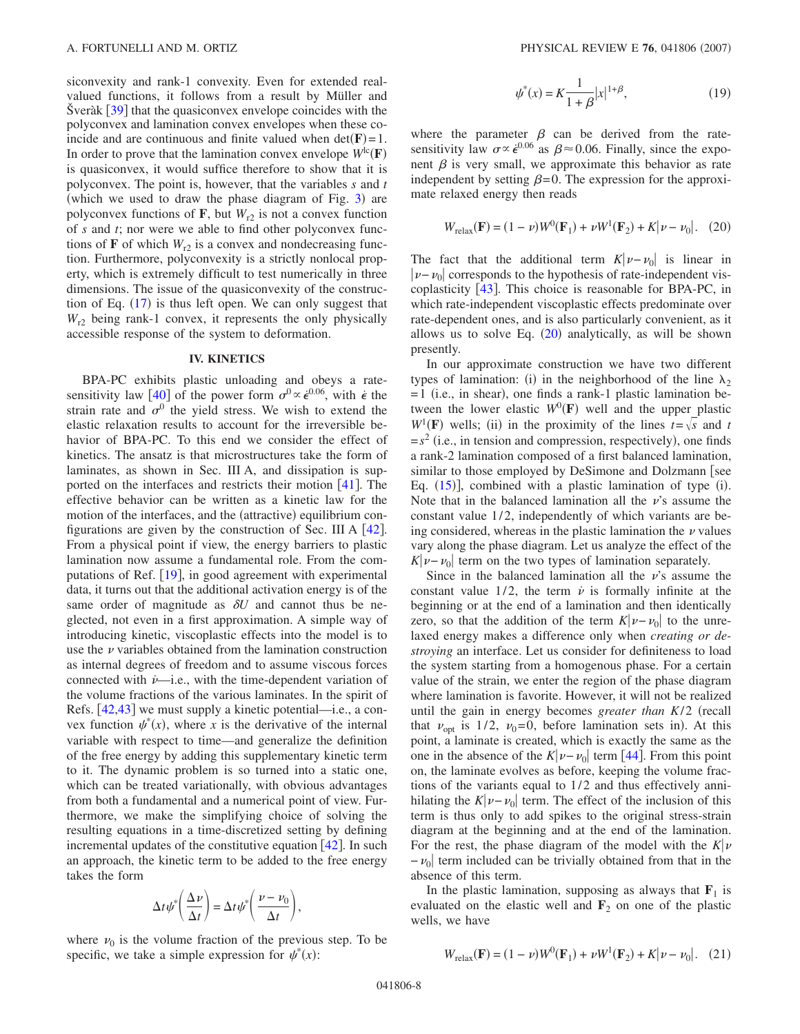siconvexity and rank-1 convexity. Even for extended realvalued functions, it follows from a result by Müller and Sveràk  $\left[39\right]$  $\left[39\right]$  $\left[39\right]$  that the quasiconvex envelope coincides with the polyconvex and lamination convex envelopes when these coincide and are continuous and finite valued when  $det(\mathbf{F}) = 1$ . In order to prove that the lamination convex envelope  $W^{\text{lc}}(\mathbf{F})$ is quasiconvex, it would suffice therefore to show that it is polyconvex. The point is, however, that the variables *s* and *t* (which we used to draw the phase diagram of Fig.  $3$ ) are polyconvex functions of  $\mathbf{F}$ , but  $W_{r2}$  is not a convex function of *s* and *t*; nor were we able to find other polyconvex functions of **F** of which  $W_{r2}$  is a convex and nondecreasing function. Furthermore, polyconvexity is a strictly nonlocal property, which is extremely difficult to test numerically in three dimensions. The issue of the quasiconvexity of the construction of Eq.  $(17)$  $(17)$  $(17)$  is thus left open. We can only suggest that *W*<sub>r2</sub> being rank-1 convex, it represents the only physically accessible response of the system to deformation.

# **IV. KINETICS**

BPA-PC exhibits plastic unloading and obeys a rate-sensitivity law [[40](#page-13-36)] of the power form  $\sigma^0 \propto \dot{\epsilon}^{0.06}$ , with  $\dot{\epsilon}$  the strain rate and  $\sigma^0$  the yield stress. We wish to extend the elastic relaxation results to account for the irreversible behavior of BPA-PC. To this end we consider the effect of kinetics. The ansatz is that microstructures take the form of laminates, as shown in Sec. III A, and dissipation is supported on the interfaces and restricts their motion  $|41|$  $|41|$  $|41|$ . The effective behavior can be written as a kinetic law for the motion of the interfaces, and the (attractive) equilibrium configurations are given by the construction of Sec. III A  $[42]$  $[42]$  $[42]$ . From a physical point if view, the energy barriers to plastic lamination now assume a fundamental role. From the computations of Ref.  $[19]$  $[19]$  $[19]$ , in good agreement with experimental data, it turns out that the additional activation energy is of the same order of magnitude as  $\delta U$  and cannot thus be neglected, not even in a first approximation. A simple way of introducing kinetic, viscoplastic effects into the model is to use the  $\nu$  variables obtained from the lamination construction as internal degrees of freedom and to assume viscous forces connected with  $\dot{\nu}$ —i.e., with the time-dependent variation of the volume fractions of the various laminates. In the spirit of Refs.  $[42, 43]$  $[42, 43]$  $[42, 43]$  we must supply a kinetic potential—i.e., a convex function  $\psi^*(x)$ , where *x* is the derivative of the internal variable with respect to time—and generalize the definition of the free energy by adding this supplementary kinetic term to it. The dynamic problem is so turned into a static one, which can be treated variationally, with obvious advantages from both a fundamental and a numerical point of view. Furthermore, we make the simplifying choice of solving the resulting equations in a time-discretized setting by defining incremental updates of the constitutive equation  $[42]$  $[42]$  $[42]$ . In such an approach, the kinetic term to be added to the free energy takes the form

$$
\Delta t \psi^* \left( \frac{\Delta \nu}{\Delta t} \right) = \Delta t \psi^* \left( \frac{\nu - \nu_0}{\Delta t} \right),
$$

where  $\nu_0$  is the volume fraction of the previous step. To be specific, we take a simple expression for  $\psi^*(x)$ :

$$
\psi^*(x) = K \frac{1}{1+\beta} |x|^{1+\beta},\tag{19}
$$

where the parameter  $\beta$  can be derived from the ratesensitivity law  $\sigma \propto \dot{\epsilon}^{0.06}$  as  $\beta \approx 0.06$ . Finally, since the exponent  $\beta$  is very small, we approximate this behavior as rate independent by setting  $\beta = 0$ . The expression for the approximate relaxed energy then reads

$$
W_{\text{relax}}(\mathbf{F}) = (1 - \nu)W^{0}(\mathbf{F}_{1}) + \nu W^{1}(\mathbf{F}_{2}) + K|\nu - \nu_{0}|.
$$
 (20)

<span id="page-7-0"></span>The fact that the additional term  $K|\nu-\nu_0|$  is linear in  $|\nu-\nu_0|$  corresponds to the hypothesis of rate-independent viscoplasticity  $[43]$  $[43]$  $[43]$ . This choice is reasonable for BPA-PC, in which rate-independent viscoplastic effects predominate over rate-dependent ones, and is also particularly convenient, as it allows us to solve Eq.  $(20)$  $(20)$  $(20)$  analytically, as will be shown presently.

In our approximate construction we have two different types of lamination: (i) in the neighborhood of the line  $\lambda_2$  $= 1$  (i.e., in shear), one finds a rank-1 plastic lamination between the lower elastic  $W^0$ (**F**) well and the upper plastic  $W^1$ (**F**) wells; (ii) in the proximity of the lines  $t = \sqrt{s}$  and *t*  $=s^2$  (i.e., in tension and compression, respectively), one finds a rank-2 lamination composed of a first balanced lamination, similar to those employed by DeSimone and Dolzmann [see Eq.  $(15)$  $(15)$  $(15)$ ], combined with a plastic lamination of type  $(i)$ . Note that in the balanced lamination all the  $\nu$ 's assume the constant value 1/2, independently of which variants are being considered, whereas in the plastic lamination the  $\nu$  values vary along the phase diagram. Let us analyze the effect of the  $K|\nu-\nu_0|$  term on the two types of lamination separately.

Since in the balanced lamination all the  $\nu$ 's assume the constant value  $1/2$ , the term  $\dot{\nu}$  is formally infinite at the beginning or at the end of a lamination and then identically zero, so that the addition of the term  $K|\nu-\nu_0|$  to the unrelaxed energy makes a difference only when *creating or destroying* an interface. Let us consider for definiteness to load the system starting from a homogenous phase. For a certain value of the strain, we enter the region of the phase diagram where lamination is favorite. However, it will not be realized until the gain in energy becomes *greater than K*/2 (recall that  $\nu_{\text{opt}}$  is 1/2,  $\nu_0 = 0$ , before lamination sets in). At this point, a laminate is created, which is exactly the same as the one in the absence of the  $K|\nu-\nu_0|$  term [[44](#page-13-40)]. From this point on, the laminate evolves as before, keeping the volume fractions of the variants equal to 1/2 and thus effectively annihilating the  $K|\nu-\nu_0|$  term. The effect of the inclusion of this term is thus only to add spikes to the original stress-strain diagram at the beginning and at the end of the lamination. For the rest, the phase diagram of the model with the  $K|\nu$  $-v_0$  term included can be trivially obtained from that in the absence of this term.

In the plastic lamination, supposing as always that  $\mathbf{F}_1$  is evaluated on the elastic well and  $\mathbf{F}_2$  on one of the plastic wells, we have

<span id="page-7-1"></span>
$$
W_{\text{relax}}(\mathbf{F}) = (1 - \nu)W^{0}(\mathbf{F}_{1}) + \nu W^{1}(\mathbf{F}_{2}) + K|\nu - \nu_{0}|.
$$
 (21)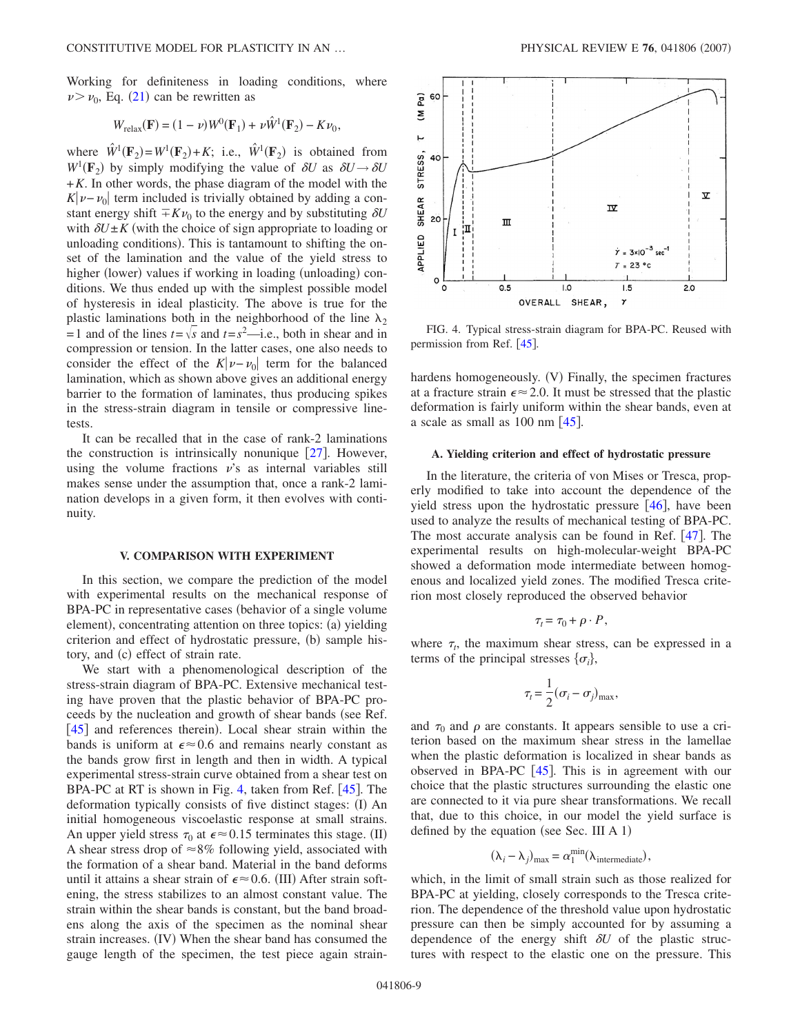Working for definiteness in loading conditions, where  $\nu > \nu_0$ , Eq. ([21](#page-7-1)) can be rewritten as

$$
W_{\text{relax}}(\mathbf{F}) = (1 - \nu)W^{0}(\mathbf{F}_{1}) + \nu \hat{W}^{1}(\mathbf{F}_{2}) - K\nu_{0},
$$

where  $\hat{W}^1(\mathbf{F}_2) = W^1(\mathbf{F}_2) + K$ ; i.e.,  $\hat{W}^1(\mathbf{F}_2)$  is obtained from  $W^1(\mathbf{F}_2)$  by simply modifying the value of  $\delta U$  as  $\delta U \rightarrow \delta U$ +*K*. In other words, the phase diagram of the model with the  $K|\nu-\nu_0|$  term included is trivially obtained by adding a constant energy shift  $\overline{+}Kv_0$  to the energy and by substituting  $\delta U$ with  $\delta U \pm K$  (with the choice of sign appropriate to loading or unloading conditions). This is tantamount to shifting the onset of the lamination and the value of the yield stress to higher (lower) values if working in loading (unloading) conditions. We thus ended up with the simplest possible model of hysteresis in ideal plasticity. The above is true for the plastic laminations both in the neighborhood of the line  $\lambda_2$  $=1$  and of the lines  $t = \sqrt{s}$  and  $t = s^2$ —i.e., both in shear and in compression or tension. In the latter cases, one also needs to consider the effect of the  $K|\nu-\nu_0|$  term for the balanced lamination, which as shown above gives an additional energy barrier to the formation of laminates, thus producing spikes in the stress-strain diagram in tensile or compressive linetests.

It can be recalled that in the case of rank-2 laminations the construction is intrinsically nonunique  $[27]$  $[27]$  $[27]$ . However, using the volume fractions  $v$ 's as internal variables still makes sense under the assumption that, once a rank-2 lamination develops in a given form, it then evolves with continuity.

### **V. COMPARISON WITH EXPERIMENT**

In this section, we compare the prediction of the model with experimental results on the mechanical response of BPA-PC in representative cases (behavior of a single volume element), concentrating attention on three topics: (a) yielding criterion and effect of hydrostatic pressure, (b) sample history, and (c) effect of strain rate.

We start with a phenomenological description of the stress-strain diagram of BPA-PC. Extensive mechanical testing have proven that the plastic behavior of BPA-PC proceeds by the nucleation and growth of shear bands (see Ref. [[45](#page-13-41)] and references therein). Local shear strain within the bands is uniform at  $\epsilon \approx 0.6$  and remains nearly constant as the bands grow first in length and then in width. A typical experimental stress-strain curve obtained from a shear test on BPA-PC at RT is shown in Fig. [4,](#page-8-0) taken from Ref.  $[45]$  $[45]$  $[45]$ . The deformation typically consists of five distinct stages: (I) An initial homogeneous viscoelastic response at small strains. An upper yield stress  $\tau_0$  at  $\epsilon \approx 0.15$  terminates this stage. (II) A shear stress drop of  $\approx 8\%$  following yield, associated with the formation of a shear band. Material in the band deforms until it attains a shear strain of  $\epsilon \approx 0.6$ . (III) After strain softening, the stress stabilizes to an almost constant value. The strain within the shear bands is constant, but the band broadens along the axis of the specimen as the nominal shear strain increases. (IV) When the shear band has consumed the gauge length of the specimen, the test piece again strain-

<span id="page-8-0"></span>

FIG. 4. Typical stress-strain diagram for BPA-PC. Reused with permission from Ref.  $[45]$  $[45]$  $[45]$ .

hardens homogeneously. (V) Finally, the specimen fractures at a fracture strain  $\epsilon \approx 2.0$ . It must be stressed that the plastic deformation is fairly uniform within the shear bands, even at a scale as small as  $100 \text{ nm}$  [[45](#page-13-41)].

### **A. Yielding criterion and effect of hydrostatic pressure**

In the literature, the criteria of von Mises or Tresca, properly modified to take into account the dependence of the yield stress upon the hydrostatic pressure  $[46]$  $[46]$  $[46]$ , have been used to analyze the results of mechanical testing of BPA-PC. The most accurate analysis can be found in Ref.  $[47]$  $[47]$  $[47]$ . The experimental results on high-molecular-weight BPA-PC showed a deformation mode intermediate between homogenous and localized yield zones. The modified Tresca criterion most closely reproduced the observed behavior

$$
\tau_t = \tau_0 + \rho \cdot P,
$$

where  $\tau_t$ , the maximum shear stress, can be expressed in a terms of the principal stresses  $\{\sigma_i\}$ ,

$$
\tau_t = \frac{1}{2} (\sigma_i - \sigma_j)_{\text{max}},
$$

and  $\tau_0$  and  $\rho$  are constants. It appears sensible to use a criterion based on the maximum shear stress in the lamellae when the plastic deformation is localized in shear bands as observed in BPA-PC  $[45]$  $[45]$  $[45]$ . This is in agreement with our choice that the plastic structures surrounding the elastic one are connected to it via pure shear transformations. We recall that, due to this choice, in our model the yield surface is defined by the equation (see Sec. III A 1)

$$
(\lambda_i - \lambda_j)_{\text{max}} = \alpha_1^{\text{min}}(\lambda_{\text{intermediate}}),
$$

which, in the limit of small strain such as those realized for BPA-PC at yielding, closely corresponds to the Tresca criterion. The dependence of the threshold value upon hydrostatic pressure can then be simply accounted for by assuming a dependence of the energy shift  $\delta U$  of the plastic structures with respect to the elastic one on the pressure. This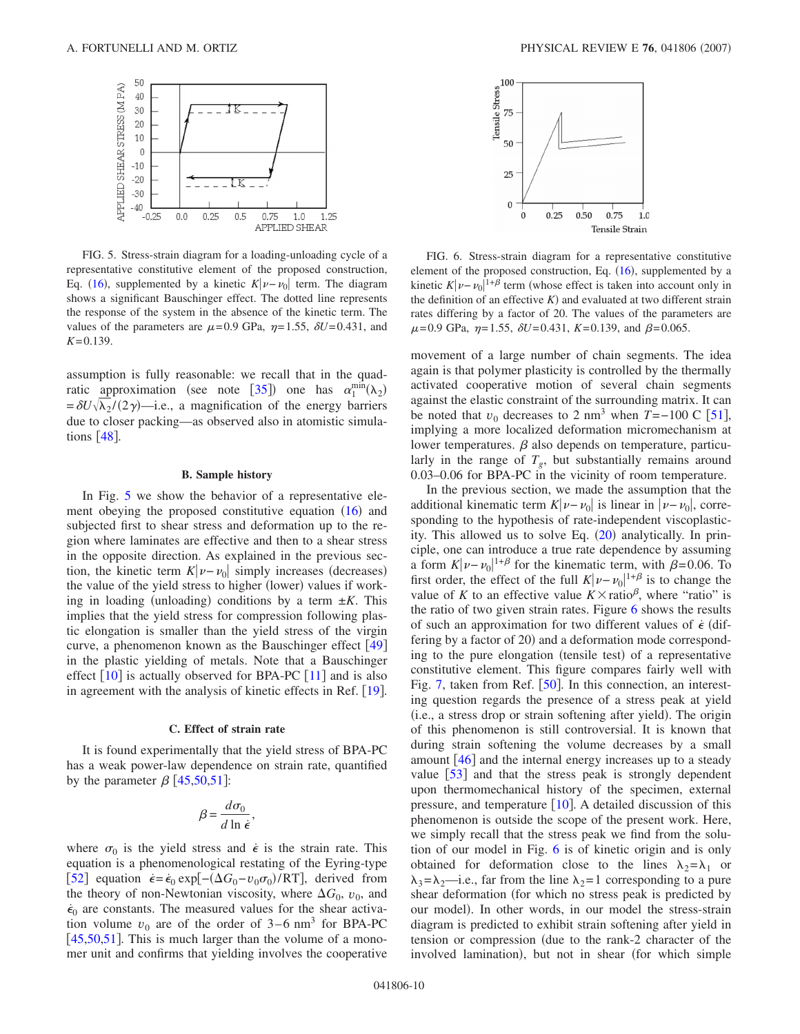<span id="page-9-0"></span>

FIG. 5. Stress-strain diagram for a loading-unloading cycle of a representative constitutive element of the proposed construction, Eq. ([16](#page-5-0)), supplemented by a kinetic  $K|\nu-\nu_0|$  term. The diagram shows a significant Bauschinger effect. The dotted line represents the response of the system in the absence of the kinetic term. The values of the parameters are  $\mu$ =0.9 GPa,  $\eta$ =1.55,  $\delta U$ =0.431, and *K*=0.139.

assumption is fully reasonable: we recall that in the quad-ratic approximation (see note [[35](#page-13-31)]) one has  $\alpha_1^{\min}(\lambda_2)$  $= \delta U \sqrt{\lambda_2/2\gamma}$ —i.e., a magnification of the energy barriers due to closer packing—as observed also in atomistic simulations  $[48]$  $[48]$  $[48]$ .

### **B. Sample history**

In Fig. [5](#page-9-0) we show the behavior of a representative ele-ment obeying the proposed constitutive equation ([16](#page-5-0)) and subjected first to shear stress and deformation up to the region where laminates are effective and then to a shear stress in the opposite direction. As explained in the previous section, the kinetic term  $K|v - v_0|$  simply increases (decreases) the value of the yield stress to higher (lower) values if working in loading (unloading) conditions by a term  $\pm K$ . This implies that the yield stress for compression following plastic elongation is smaller than the yield stress of the virgin curve, a phenomenon known as the Bauschinger effect  $[49]$  $[49]$  $[49]$ in the plastic yielding of metals. Note that a Bauschinger effect  $\lceil 10 \rceil$  $\lceil 10 \rceil$  $\lceil 10 \rceil$  is actually observed for BPA-PC  $\lceil 11 \rceil$  $\lceil 11 \rceil$  $\lceil 11 \rceil$  and is also in agreement with the analysis of kinetic effects in Ref.  $[19]$  $[19]$  $[19]$ .

### **C. Effect of strain rate**

It is found experimentally that the yield stress of BPA-PC has a weak power-law dependence on strain rate, quantified by the parameter  $\beta$  [[45,](#page-13-41)[50](#page-13-46)[,51](#page-13-47)]:

$$
\beta = \frac{d\sigma_0}{d\ln\dot{\epsilon}},
$$

where  $\sigma_0$  is the yield stress and  $\dot{\epsilon}$  is the strain rate. This equation is a phenomenological restating of the Eyring-type [[52](#page-13-48)] equation  $\dot{\epsilon} = \dot{\epsilon}_0 \exp[-(\Delta G_0 - v_0 \sigma_0)/RT]$ , derived from the theory of non-Newtonian viscosity, where  $\Delta G_0$ ,  $v_0$ , and  $\dot{\epsilon}_0$  are constants. The measured values for the shear activation volume  $v_0$  are of the order of  $3-6$  nm<sup>3</sup> for BPA-PC  $[45,50,51]$  $[45,50,51]$  $[45,50,51]$  $[45,50,51]$  $[45,50,51]$ . This is much larger than the volume of a monomer unit and confirms that yielding involves the cooperative

<span id="page-9-1"></span>

FIG. 6. Stress-strain diagram for a representative constitutive element of the proposed construction, Eq. ([16](#page-5-0)), supplemented by a kinetic  $K|\nu-\nu_0|^{1+\beta}$  term (whose effect is taken into account only in the definition of an effective  $K$ ) and evaluated at two different strain rates differing by a factor of 20. The values of the parameters are  $\mu$ =0.9 GPa,  $\eta$ =1.55,  $\delta U$ =0.431, *K*=0.139, and  $\beta$ =0.065.

movement of a large number of chain segments. The idea again is that polymer plasticity is controlled by the thermally activated cooperative motion of several chain segments against the elastic constraint of the surrounding matrix. It can be noted that  $v_0$  decreases to 2 nm<sup>3</sup> when  $T=-100 \text{ C } [51]$  $T=-100 \text{ C } [51]$  $T=-100 \text{ C } [51]$ , implying a more localized deformation micromechanism at lower temperatures.  $\beta$  also depends on temperature, particularly in the range of  $T<sub>g</sub>$ , but substantially remains around 0.03–0.06 for BPA-PC in the vicinity of room temperature.

In the previous section, we made the assumption that the additional kinematic term  $K|\nu-\nu_0|$  is linear in  $|\nu-\nu_0|$ , corresponding to the hypothesis of rate-independent viscoplasticity. This allowed us to solve Eq.  $(20)$  $(20)$  $(20)$  analytically. In principle, one can introduce a true rate dependence by assuming a form  $K|\nu-\nu_0|^{1+\beta}$  for the kinematic term, with  $\beta$ =0.06. To first order, the effect of the full  $K|\nu-\nu_0|^{1+\beta}$  is to change the value of *K* to an effective value  $K \times \text{ratio}^{\beta}$ , where "ratio" is the ratio of two given strain rates. Figure [6](#page-9-1) shows the results of such an approximation for two different values of  $\dot{\epsilon}$  (differing by a factor of 20) and a deformation mode corresponding to the pure elongation (tensile test) of a representative constitutive element. This figure compares fairly well with Fig. [7,](#page-10-0) taken from Ref.  $\vert 50 \vert$  $\vert 50 \vert$  $\vert 50 \vert$ . In this connection, an interesting question regards the presence of a stress peak at yield (i.e., a stress drop or strain softening after yield). The origin of this phenomenon is still controversial. It is known that during strain softening the volume decreases by a small amount  $[46]$  $[46]$  $[46]$  and the internal energy increases up to a steady value  $\lceil 53 \rceil$  $\lceil 53 \rceil$  $\lceil 53 \rceil$  and that the stress peak is strongly dependent upon thermomechanical history of the specimen, external pressure, and temperature  $[10]$  $[10]$  $[10]$ . A detailed discussion of this phenomenon is outside the scope of the present work. Here, we simply recall that the stress peak we find from the solution of our model in Fig. [6](#page-9-1) is of kinetic origin and is only obtained for deformation close to the lines  $\lambda_2 = \lambda_1$  or  $\lambda_3 = \lambda_2$ —i.e., far from the line  $\lambda_2 = 1$  corresponding to a pure shear deformation (for which no stress peak is predicted by our model). In other words, in our model the stress-strain diagram is predicted to exhibit strain softening after yield in tension or compression due to the rank-2 character of the involved lamination), but not in shear (for which simple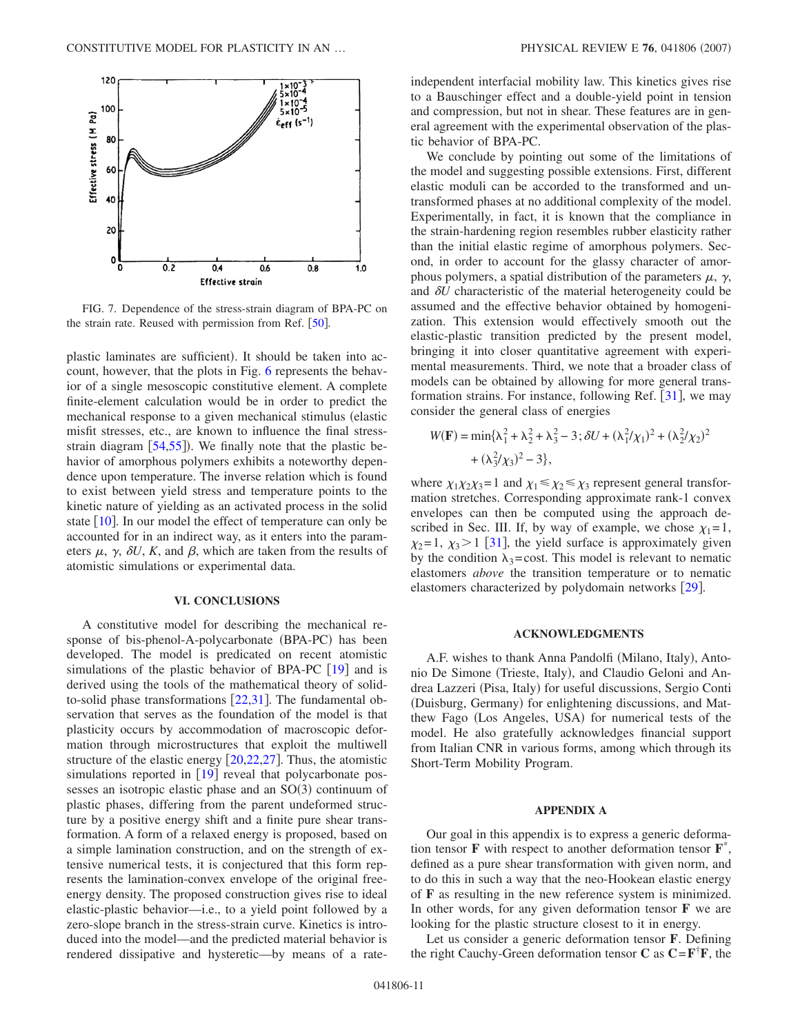<span id="page-10-0"></span>

FIG. 7. Dependence of the stress-strain diagram of BPA-PC on the strain rate. Reused with permission from Ref.  $[50]$  $[50]$  $[50]$ .

plastic laminates are sufficient). It should be taken into account, however, that the plots in Fig. [6](#page-9-1) represents the behavior of a single mesoscopic constitutive element. A complete finite-element calculation would be in order to predict the mechanical response to a given mechanical stimulus (elastic misfit stresses, etc., are known to influence the final stressstrain diagram  $[54,55]$  $[54,55]$  $[54,55]$  $[54,55]$ ). We finally note that the plastic behavior of amorphous polymers exhibits a noteworthy dependence upon temperature. The inverse relation which is found to exist between yield stress and temperature points to the kinetic nature of yielding as an activated process in the solid state  $[10]$  $[10]$  $[10]$ . In our model the effect of temperature can only be accounted for in an indirect way, as it enters into the parameters  $\mu$ ,  $\gamma$ ,  $\delta U$ , K, and  $\beta$ , which are taken from the results of atomistic simulations or experimental data.

### **VI. CONCLUSIONS**

A constitutive model for describing the mechanical response of bis-phenol-A-polycarbonate (BPA-PC) has been developed. The model is predicated on recent atomistic simulations of the plastic behavior of BPA-PC  $\lceil 19 \rceil$  $\lceil 19 \rceil$  $\lceil 19 \rceil$  and is derived using the tools of the mathematical theory of solidto-solid phase transformations  $[22,31]$  $[22,31]$  $[22,31]$  $[22,31]$ . The fundamental observation that serves as the foundation of the model is that plasticity occurs by accommodation of macroscopic deformation through microstructures that exploit the multiwell structure of the elastic energy  $[20,22,27]$  $[20,22,27]$  $[20,22,27]$  $[20,22,27]$  $[20,22,27]$ . Thus, the atomistic simulations reported in  $\lceil 19 \rceil$  $\lceil 19 \rceil$  $\lceil 19 \rceil$  reveal that polycarbonate possesses an isotropic elastic phase and an SO(3) continuum of plastic phases, differing from the parent undeformed structure by a positive energy shift and a finite pure shear transformation. A form of a relaxed energy is proposed, based on a simple lamination construction, and on the strength of extensive numerical tests, it is conjectured that this form represents the lamination-convex envelope of the original freeenergy density. The proposed construction gives rise to ideal elastic-plastic behavior—i.e., to a yield point followed by a zero-slope branch in the stress-strain curve. Kinetics is introduced into the model—and the predicted material behavior is rendered dissipative and hysteretic—by means of a rateindependent interfacial mobility law. This kinetics gives rise to a Bauschinger effect and a double-yield point in tension and compression, but not in shear. These features are in general agreement with the experimental observation of the plastic behavior of BPA-PC.

We conclude by pointing out some of the limitations of the model and suggesting possible extensions. First, different elastic moduli can be accorded to the transformed and untransformed phases at no additional complexity of the model. Experimentally, in fact, it is known that the compliance in the strain-hardening region resembles rubber elasticity rather than the initial elastic regime of amorphous polymers. Second, in order to account for the glassy character of amorphous polymers, a spatial distribution of the parameters  $\mu$ ,  $\gamma$ , and  $\delta U$  characteristic of the material heterogeneity could be assumed and the effective behavior obtained by homogenization. This extension would effectively smooth out the elastic-plastic transition predicted by the present model, bringing it into closer quantitative agreement with experimental measurements. Third, we note that a broader class of models can be obtained by allowing for more general transformation strains. For instance, following Ref.  $\lceil 31 \rceil$  $\lceil 31 \rceil$  $\lceil 31 \rceil$ , we may consider the general class of energies

$$
W(\mathbf{F}) = \min\{\lambda_1^2 + \lambda_2^2 + \lambda_3^2 - 3\,;\delta U + (\lambda_1^2/\chi_1)^2 + (\lambda_2^2/\chi_2)^2 + (\lambda_3^2/\chi_3)^2 - 3\},\
$$

where  $\chi_1 \chi_2 \chi_3 = 1$  and  $\chi_1 \leq \chi_2 \leq \chi_3$  represent general transformation stretches. Corresponding approximate rank-1 convex envelopes can then be computed using the approach described in Sec. III. If, by way of example, we chose  $\chi_1=1$ ,  $\chi_2=1$ ,  $\chi_3>1$  [[31](#page-13-29)], the yield surface is approximately given by the condition  $\lambda_3$ =cost. This model is relevant to nematic elastomers *above* the transition temperature or to nematic elastomers characterized by polydomain networks [[29](#page-13-25)].

### **ACKNOWLEDGMENTS**

A.F. wishes to thank Anna Pandolfi (Milano, Italy), Antonio De Simone (Trieste, Italy), and Claudio Geloni and Andrea Lazzeri (Pisa, Italy) for useful discussions, Sergio Conti (Duisburg, Germany) for enlightening discussions, and Matthew Fago (Los Angeles, USA) for numerical tests of the model. He also gratefully acknowledges financial support from Italian CNR in various forms, among which through its Short-Term Mobility Program.

## **APPENDIX A**

Our goal in this appendix is to express a generic deformation tensor **F** with respect to another deformation tensor **F**\* , defined as a pure shear transformation with given norm, and to do this in such a way that the neo-Hookean elastic energy of **F** as resulting in the new reference system is minimized. In other words, for any given deformation tensor **F** we are looking for the plastic structure closest to it in energy.

Let us consider a generic deformation tensor **F**. Defining the right Cauchy-Green deformation tensor  $C$  as  $C = F^{\dagger}F$ , the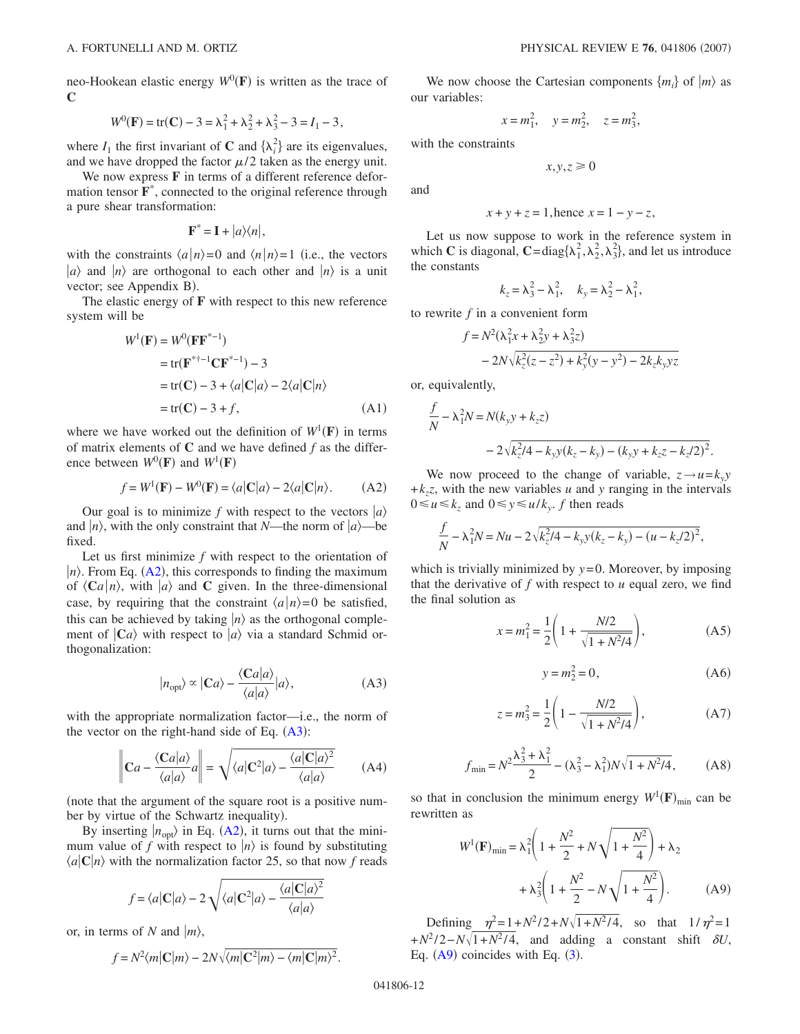neo-Hookean elastic energy  $W^0$ (**F**) is written as the trace of **C**

$$
W^{0}(\mathbf{F}) = \text{tr}(\mathbf{C}) - 3 = \lambda_1^{2} + \lambda_2^{2} + \lambda_3^{2} - 3 = I_1 - 3,
$$

where  $I_1$  the first invariant of **C** and  $\{\lambda_i^2\}$  are its eigenvalues, and we have dropped the factor  $\mu/2$  taken as the energy unit.

We now express **F** in terms of a different reference deformation tensor **F**\* , connected to the original reference through a pure shear transformation:

$$
\mathbf{F}^* = \mathbf{I} + |a\rangle\langle n|,
$$

with the constraints  $\langle a|n\rangle=0$  and  $\langle n|n\rangle=1$  (i.e., the vectors  $|a\rangle$  and  $|n\rangle$  are orthogonal to each other and  $|n\rangle$  is a unit vector; see Appendix B).

The elastic energy of **F** with respect to this new reference system will be

$$
W^{1}(\mathbf{F}) = W^{0}(\mathbf{F}\mathbf{F}^{*-1})
$$
  
= tr(\mathbf{F}^{\*+1}\mathbf{C}\mathbf{F}^{\*-1}) - 3  
= tr(\mathbf{C}) - 3 + \langle a|\mathbf{C}|a \rangle - 2\langle a|\mathbf{C}|n \rangle  
= tr(\mathbf{C}) - 3 + f, \qquad (A1)

where we have worked out the definition of  $W^1(\mathbf{F})$  in terms of matrix elements of **C** and we have defined *f* as the difference between  $W^0(\mathbf{F})$  and  $W^1(\mathbf{F})$ 

$$
f = W1(\mathbf{F}) - W0(\mathbf{F}) = \langle a | \mathbf{C} | a \rangle - 2 \langle a | \mathbf{C} | n \rangle.
$$
 (A2)

<span id="page-11-0"></span>Our goal is to minimize f with respect to the vectors  $|a\rangle$ and  $|n\rangle$ , with the only constraint that *N*—the norm of  $|a\rangle$ —be fixed.

Let us first minimize *f* with respect to the orientation of  $|n\rangle$ . From Eq. ([A2](#page-11-0)), this corresponds to finding the maximum of  $\langle Ca|n\rangle$ , with  $|a\rangle$  and **C** given. In the three-dimensional case, by requiring that the constraint  $\langle a|n\rangle=0$  be satisfied, this can be achieved by taking  $|n\rangle$  as the orthogonal complement of  $|Ca\rangle$  with respect to  $|a\rangle$  via a standard Schmid orthogonalization:

$$
|n_{\text{opt}}\rangle \propto |\mathbf{C}a\rangle - \frac{\langle \mathbf{C}a|a\rangle}{\langle a|a\rangle}|a\rangle, \tag{A3}
$$

<span id="page-11-1"></span>with the appropriate normalization factor—i.e., the norm of the vector on the right-hand side of Eq.  $(A3)$  $(A3)$  $(A3)$ :

$$
\left\| \mathbf{C}a - \frac{\langle \mathbf{C}a|a \rangle}{\langle a|a \rangle} a \right\| = \sqrt{\langle a|\mathbf{C}^2|a \rangle - \frac{\langle a|\mathbf{C}|a \rangle^2}{\langle a|a \rangle}}
$$
 (A4)

note that the argument of the square root is a positive number by virtue of the Schwartz inequality).

By inserting  $|n_{\text{opt}}\rangle$  in Eq. ([A2](#page-11-0)), it turns out that the minimum value of *f* with respect to  $|n\rangle$  is found by substituting  $\langle a|C|n \rangle$  with the normalization factor 25, so that now f reads

$$
f = \langle a | \mathbf{C} | a \rangle - 2 \sqrt{\langle a | \mathbf{C}^2 | a \rangle - \frac{\langle a | \mathbf{C} | a \rangle^2}{\langle a | a \rangle}}
$$

or, in terms of *N* and  $|m\rangle$ ,

$$
f = N^2 \langle m | \mathbf{C} | m \rangle - 2N \sqrt{\langle m | \mathbf{C}^2 | m \rangle - \langle m | \mathbf{C} | m \rangle^2}.
$$

We now choose the Cartesian components  $\{m_i\}$  of  $|m\rangle$  as our variables:

$$
x = m_1^2
$$
,  $y = m_2^2$ ,  $z = m_3^2$ ,

 $x, y, z \geq 0$ 

with the constraints

and

$$
x + y + z = 1
$$
, hence 
$$
x = 1 - y - z
$$
,

Let us now suppose to work in the reference system in which **C** is diagonal,  $C = diag\{\lambda_1^2, \lambda_2^2, \lambda_3^2\}$ , and let us introduce the constants

$$
k_z = \lambda_3^2 - \lambda_1^2
$$
,  $k_y = \lambda_2^2 - \lambda_1^2$ ,

to rewrite *f* in a convenient form

$$
f = N^2(\lambda_1^2 x + \lambda_2^2 y + \lambda_3^2 z)
$$
  
- 2N $\sqrt{k_z^2(z - z^2) + k_y^2(y - y^2) - 2k_z k_y y z}$ 

or, equivalently,

*<sup>N</sup>* <sup>−</sup> <sup>1</sup>

$$
\frac{f}{N} - \lambda_1^2 N = N(k_y y + k_z z)
$$
  
- 2 $\sqrt{k_z^2/4 - k_y y (k_z - k_y) - (k_y y + k_z z - k_z/2)^2}$ .

We now proceed to the change of variable,  $z \rightarrow u = k_y y$  $+k_z$ z, with the new variables *u* and *y* ranging in the intervals  $0 \le u \le k_z$  and  $0 \le y \le u/k_y$ . *f* then reads

$$
\frac{f}{N} - \lambda_1^2 N = Nu - 2\sqrt{k_z^2/4 - k_y y (k_z - k_y) - (u - k_z/2)^2},
$$

which is trivially minimized by *y*=0. Moreover, by imposing that the derivative of  $f$  with respect to  $u$  equal zero, we find the final solution as

$$
x = m_1^2 = \frac{1}{2} \left( 1 + \frac{N/2}{\sqrt{1 + N^2/4}} \right),
$$
 (A5)

$$
y = m_2^2 = 0,
$$
 (A6)

$$
z = m_3^2 = \frac{1}{2} \left( 1 - \frac{N/2}{\sqrt{1 + N^2/4}} \right),
$$
 (A7)

$$
f_{\min} = N^2 \frac{\lambda_3^2 + \lambda_1^2}{2} - (\lambda_3^2 - \lambda_1^2) N \sqrt{1 + N^2 / 4},
$$
 (A8)

<span id="page-11-2"></span>so that in conclusion the minimum energy  $W^1(\mathbf{F})_{\text{min}}$  can be rewritten as

$$
W^{1}(\mathbf{F})_{\min} = \lambda_{1}^{2} \left( 1 + \frac{N^{2}}{2} + N \sqrt{1 + \frac{N^{2}}{4}} \right) + \lambda_{2}
$$

$$
+ \lambda_{3}^{2} \left( 1 + \frac{N^{2}}{2} - N \sqrt{1 + \frac{N^{2}}{4}} \right). \tag{A9}
$$

Defining  $\eta^2 = 1 + N^2 / 2 + N \sqrt{1 + N^2 / 4}$ , so that  $1/\eta^2 = 1$  $+ N^2 / 2 - N \sqrt{1 + N^2 / 4}$ , and adding a constant shift  $\delta U$ , Eq.  $(A9)$  $(A9)$  $(A9)$  coincides with Eq.  $(3)$  $(3)$  $(3)$ .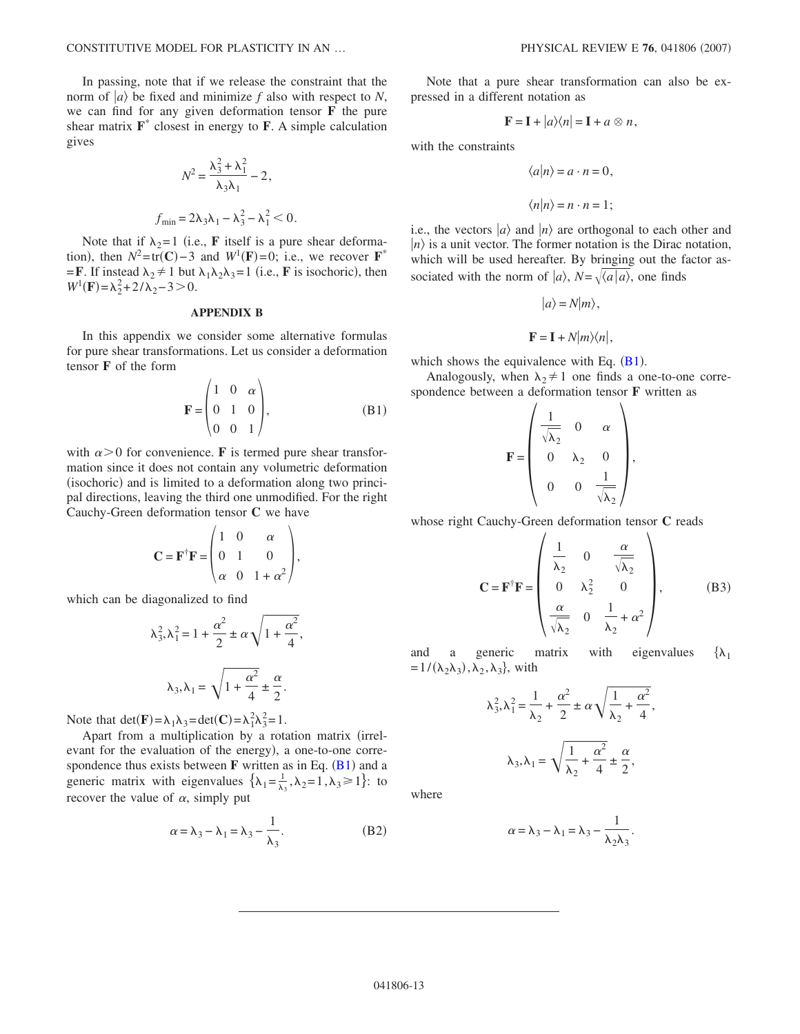In passing, note that if we release the constraint that the norm of  $|a\rangle$  be fixed and minimize f also with respect to N, we can find for any given deformation tensor **F** the pure shear matrix  $\mathbf{F}^*$  closest in energy to  $\mathbf{F}$ . A simple calculation gives

$$
N^{2} = \frac{\lambda_{3}^{2} + \lambda_{1}^{2}}{\lambda_{3}\lambda_{1}} - 2,
$$
  

$$
f_{\min} = 2\lambda_{3}\lambda_{1} - \lambda_{3}^{2} - \lambda_{1}^{2} < 0.
$$

Note that if  $\lambda_2=1$  (i.e., **F** itself is a pure shear deformation), then  $N^2 = \text{tr}(\mathbf{C}) - 3$  and  $W^1(\mathbf{F}) = 0$ ; i.e., we recover  $\mathbf{F}^*$  $=$ **F**. If instead  $\lambda_2 \neq 1$  but  $\lambda_1 \lambda_2 \lambda_3 = 1$  (i.e., **F** is isochoric), then  $W^1(\mathbf{F}) = \lambda_2^2 + 2/\lambda_2 - 3 > 0.$ 

#### **APPENDIX B**

<span id="page-12-0"></span>In this appendix we consider some alternative formulas for pure shear transformations. Let us consider a deformation tensor **F** of the form

$$
\mathbf{F} = \begin{pmatrix} 1 & 0 & \alpha \\ 0 & 1 & 0 \\ 0 & 0 & 1 \end{pmatrix},
$$
 (B1)

with  $\alpha$  > 0 for convenience. **F** is termed pure shear transformation since it does not contain any volumetric deformation (isochoric) and is limited to a deformation along two principal directions, leaving the third one unmodified. For the right Cauchy-Green deformation tensor **C** we have

$$
\mathbf{C} = \mathbf{F}^{\dagger} \mathbf{F} = \begin{pmatrix} 1 & 0 & \alpha \\ 0 & 1 & 0 \\ \alpha & 0 & 1 + \alpha^2 \end{pmatrix},
$$

which can be diagonalized to find

$$
\lambda_3^2, \lambda_1^2 = 1 + \frac{\alpha^2}{2} \pm \alpha \sqrt{1 + \frac{\alpha^2}{4}},
$$
  

$$
\lambda_3, \lambda_1 = \sqrt{1 + \frac{\alpha^2}{4}} \pm \frac{\alpha}{2}.
$$

Note that  $det(\mathbf{F}) = \lambda_1 \lambda_3 = det(\mathbf{C}) = \lambda_1^2 \lambda_3^2 = 1$ .

Apart from a multiplication by a rotation matrix (irrelevant for the evaluation of the energy), a one-to-one correspondence thus exists between  $\bf{F}$  written as in Eq.  $(\bf{B1})$  $(\bf{B1})$  $(\bf{B1})$  and a generic matrix with eigenvalues  $\{\lambda_1 = \frac{1}{\lambda_3}, \lambda_2 = 1, \lambda_3 \ge 1\}$ : to recover the value of  $\alpha$ , simply put

$$
\alpha = \lambda_3 - \lambda_1 = \lambda_3 - \frac{1}{\lambda_3}.
$$
 (B2)

Note that a pure shear transformation can also be expressed in a different notation as

$$
\mathbf{F} = \mathbf{I} + |a\rangle\langle n| = \mathbf{I} + a \otimes n,
$$

with the constraints

$$
\langle a|n\rangle = a \cdot n = 0,
$$
  

$$
\langle n|n\rangle = n \cdot n = 1;
$$

i.e., the vectors  $|a\rangle$  and  $|n\rangle$  are orthogonal to each other and  $|n\rangle$  is a unit vector. The former notation is the Dirac notation, which will be used hereafter. By bringing out the factor associated with the norm of  $|a\rangle$ ,  $N = \sqrt{\langle a|a\rangle}$ , one finds

$$
|a\rangle = N|m\rangle,
$$

 $\mathbf{F} = \mathbf{I} + N|m\rangle\langle n|$ ,

which shows the equivalence with Eq.  $(B1)$  $(B1)$  $(B1)$ .

Analogously, when  $\lambda_2 \neq 1$  one finds a one-to-one correspondence between a deformation tensor **F** written as

$$
\mathbf{F} = \begin{pmatrix} \frac{1}{\sqrt{\lambda_2}} & 0 & \alpha \\ 0 & \lambda_2 & 0 \\ 0 & 0 & \frac{1}{\sqrt{\lambda_2}} \end{pmatrix},
$$

whose right Cauchy-Green deformation tensor **C** reads

$$
\mathbf{C} = \mathbf{F}^{\dagger} \mathbf{F} = \begin{pmatrix} \frac{1}{\lambda_2} & 0 & \frac{\alpha}{\sqrt{\lambda_2}} \\ 0 & \lambda_2^2 & 0 \\ \frac{\alpha}{\sqrt{\lambda_2}} & 0 & \frac{1}{\lambda_2} + \alpha^2 \end{pmatrix},
$$
(B3)

and a generic matrix with eigenvalues  $\{\lambda_1$  $=1/(\lambda_2\lambda_3), \lambda_2, \lambda_3\}$ , with

$$
\lambda_3^2, \lambda_1^2 = \frac{1}{\lambda_2} + \frac{\alpha^2}{2} \pm \alpha \sqrt{\frac{1}{\lambda_2} + \frac{\alpha^2}{4}},
$$

$$
\lambda_3, \lambda_1 = \sqrt{\frac{1}{\lambda_2} + \frac{\alpha^2}{4}} \pm \frac{\alpha}{2},
$$

where

$$
\alpha = \lambda_3 - \lambda_1 = \lambda_3 - \frac{1}{\lambda_2 \lambda_3}.
$$